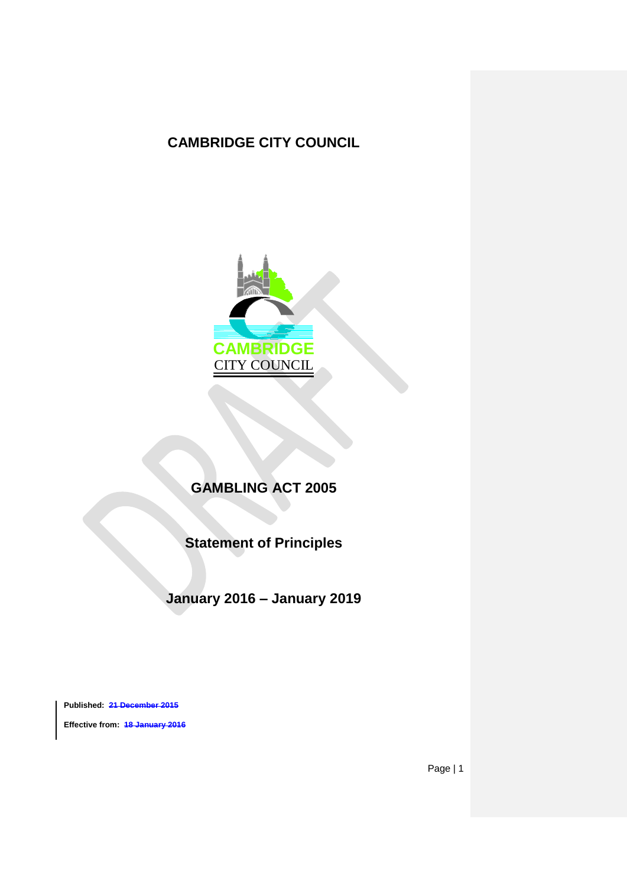# **CAMBRIDGE CITY COUNCIL**



# **GAMBLING ACT 2005**

**Statement of Principles**

**January 2016 – January 2019**

**Published: 21 December 2015 Effective from: 18 January 2016**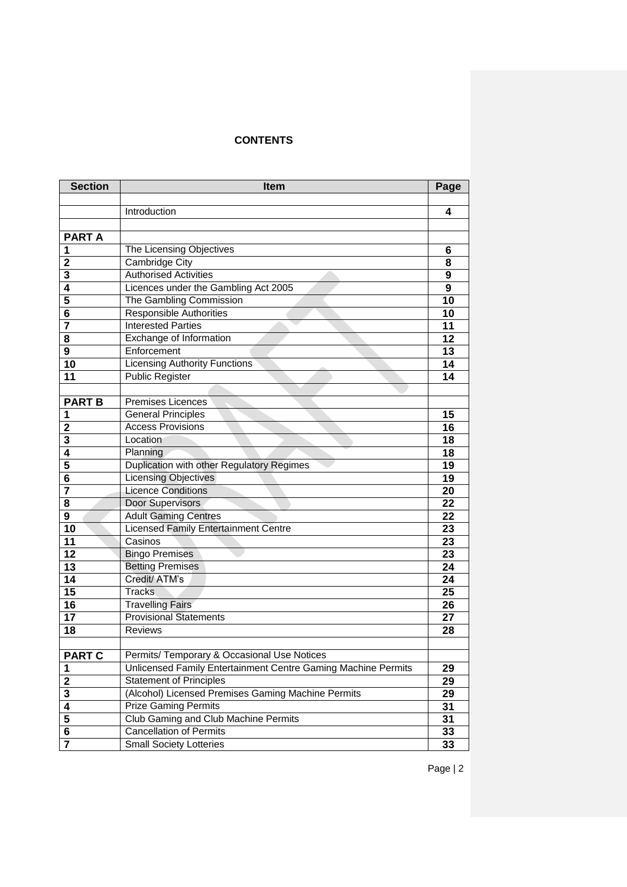# **CONTENTS**

| <b>Section</b>          | <b>Item</b>                                                   | Page |
|-------------------------|---------------------------------------------------------------|------|
|                         |                                                               |      |
|                         | Introduction                                                  |      |
|                         |                                                               |      |
| <b>PARTA</b>            |                                                               |      |
| 1                       | The Licensing Objectives                                      | 6    |
| $\mathbf{2}$            | Cambridge City                                                | 8    |
| 3                       | <b>Authorised Activities</b>                                  | 9    |
| 4                       | Licences under the Gambling Act 2005                          | 9    |
| 5                       | The Gambling Commission                                       | 10   |
| 6                       | <b>Responsible Authorities</b>                                | 10   |
| 7                       | <b>Interested Parties</b>                                     | 11   |
| 8                       | Exchange of Information                                       | 12   |
| 9                       | Enforcement                                                   | 13   |
| 10                      | <b>Licensing Authority Functions</b>                          | 14   |
| 11                      | <b>Public Register</b>                                        | 14   |
|                         |                                                               |      |
| <b>PART B</b>           | <b>Premises Licences</b>                                      |      |
| 1                       | <b>General Principles</b>                                     | 15   |
| $\mathbf{2}$            | <b>Access Provisions</b>                                      | 16   |
| 3                       | Location                                                      | 18   |
| 4                       | Planning                                                      | 18   |
| 5                       | Duplication with other Regulatory Regimes                     | 19   |
| $\overline{\mathbf{6}}$ | <b>Licensing Objectives</b>                                   | 19   |
| 7                       | <b>Licence Conditions</b>                                     | 20   |
| 8                       | Door Supervisors                                              | 22   |
| 9                       | <b>Adult Gaming Centres</b>                                   | 22   |
| 10                      | <b>Licensed Family Entertainment Centre</b>                   | 23   |
| 11                      | Casinos                                                       | 23   |
| 12                      | <b>Bingo Premises</b>                                         | 23   |
| 13                      | <b>Betting Premises</b>                                       | 24   |
| 14                      | Credit/ ATM's                                                 | 24   |
| 15                      | <b>Tracks</b>                                                 | 25   |
| 16                      | <b>Travelling Fairs</b>                                       | 26   |
| 17                      | <b>Provisional Statements</b>                                 | 27   |
| 18                      | <b>Reviews</b>                                                | 28   |
|                         |                                                               |      |
| <b>PART C</b>           | Permits/ Temporary & Occasional Use Notices                   |      |
| 1                       | Unlicensed Family Entertainment Centre Gaming Machine Permits | 29   |
| $\mathbf 2$             | <b>Statement of Principles</b>                                | 29   |
| $\mathbf 3$             | (Alcohol) Licensed Premises Gaming Machine Permits            | 29   |
| $\overline{\mathbf{4}}$ | <b>Prize Gaming Permits</b>                                   | 31   |
| $\overline{\mathbf{5}}$ | Club Gaming and Club Machine Permits                          | 31   |
| 6                       | Cancellation of Permits                                       | 33   |
| $\overline{\mathbf{7}}$ | <b>Small Society Lotteries</b>                                | 33   |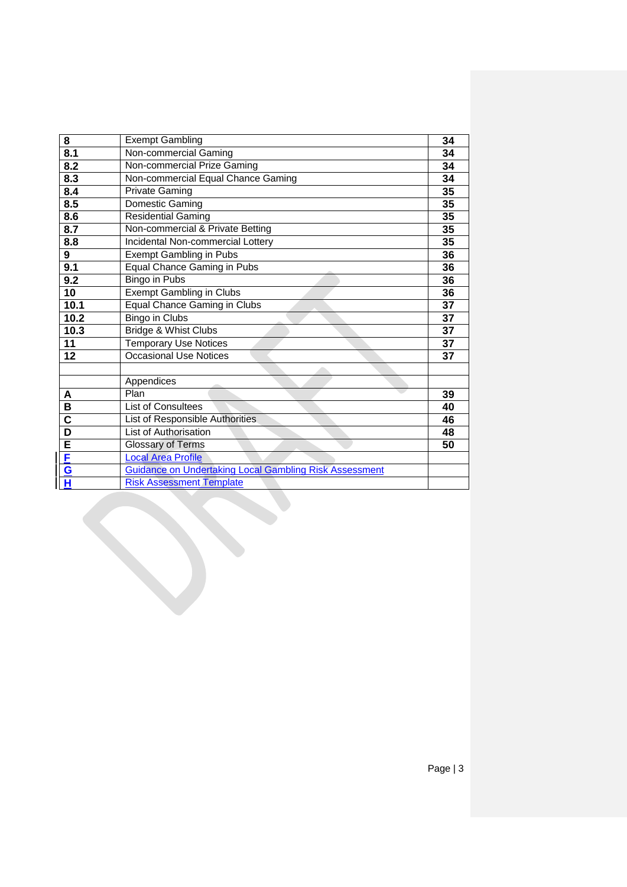| 8                       | <b>Exempt Gambling</b>                                        | 34 |  |  |
|-------------------------|---------------------------------------------------------------|----|--|--|
| 8.1                     | Non-commercial Gaming                                         | 34 |  |  |
| 8.2                     | Non-commercial Prize Gaming                                   |    |  |  |
| 8.3                     | Non-commercial Equal Chance Gaming                            | 34 |  |  |
| 8.4                     | <b>Private Gaming</b>                                         | 35 |  |  |
| 8.5                     | Domestic Gaming                                               | 35 |  |  |
| 8.6                     | <b>Residential Gaming</b>                                     | 35 |  |  |
| 8.7                     | Non-commercial & Private Betting                              |    |  |  |
| 8.8                     | Incidental Non-commercial Lottery                             |    |  |  |
| 9                       | <b>Exempt Gambling in Pubs</b>                                |    |  |  |
| 9.1                     | Equal Chance Gaming in Pubs                                   | 36 |  |  |
| 9.2                     | <b>Bingo in Pubs</b>                                          | 36 |  |  |
| 10                      | <b>Exempt Gambling in Clubs</b>                               | 36 |  |  |
| 10.1                    | <b>Equal Chance Gaming in Clubs</b>                           |    |  |  |
| 10.2                    | <b>Bingo in Clubs</b>                                         | 37 |  |  |
| 10.3                    | Bridge & Whist Clubs                                          | 37 |  |  |
| 11                      | <b>Temporary Use Notices</b>                                  | 37 |  |  |
| 12                      | Occasional Use Notices                                        | 37 |  |  |
|                         |                                                               |    |  |  |
|                         | Appendices                                                    |    |  |  |
| A                       | Plan                                                          | 39 |  |  |
| B                       | <b>List of Consultees</b>                                     | 40 |  |  |
| $\overline{\textbf{c}}$ | List of Responsible Authorities                               | 46 |  |  |
| $\overline{\mathsf{D}}$ | List of Authorisation                                         | 48 |  |  |
| Ē                       | <b>Glossary of Terms</b>                                      | 50 |  |  |
| E                       | <b>Local Area Profile</b>                                     |    |  |  |
| G                       | <b>Guidance on Undertaking Local Gambling Risk Assessment</b> |    |  |  |
| Н                       | <b>Risk Assessment Template</b>                               |    |  |  |
|                         |                                                               |    |  |  |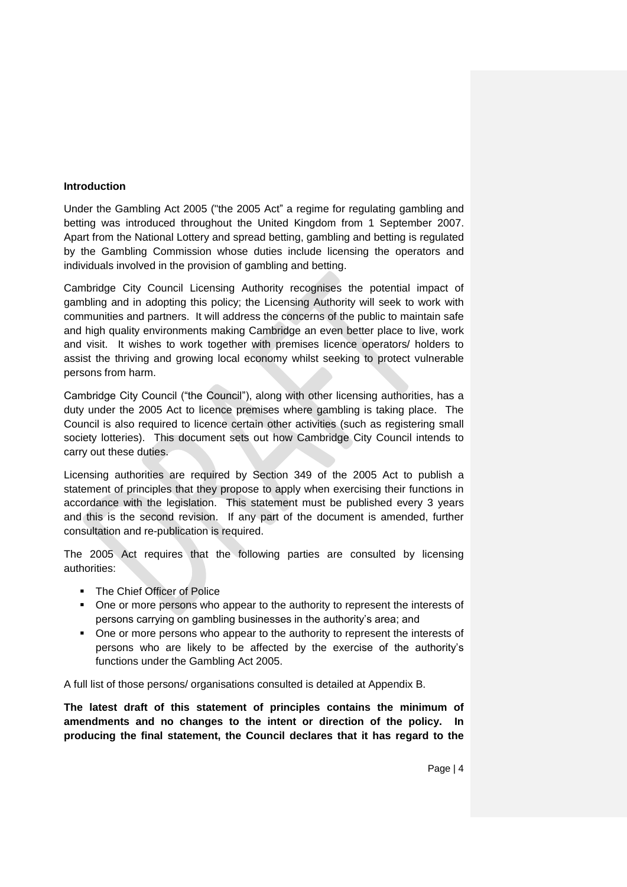#### **Introduction**

Under the Gambling Act 2005 ("the 2005 Act" a regime for regulating gambling and betting was introduced throughout the United Kingdom from 1 September 2007. Apart from the National Lottery and spread betting, gambling and betting is regulated by the Gambling Commission whose duties include licensing the operators and individuals involved in the provision of gambling and betting.

Cambridge City Council Licensing Authority recognises the potential impact of gambling and in adopting this policy; the Licensing Authority will seek to work with communities and partners. It will address the concerns of the public to maintain safe and high quality environments making Cambridge an even better place to live, work and visit. It wishes to work together with premises licence operators/ holders to assist the thriving and growing local economy whilst seeking to protect vulnerable persons from harm.

Cambridge City Council ("the Council"), along with other licensing authorities, has a duty under the 2005 Act to licence premises where gambling is taking place. The Council is also required to licence certain other activities (such as registering small society lotteries). This document sets out how Cambridge City Council intends to carry out these duties.

Licensing authorities are required by Section 349 of the 2005 Act to publish a statement of principles that they propose to apply when exercising their functions in accordance with the legislation. This statement must be published every 3 years and this is the second revision. If any part of the document is amended, further consultation and re-publication is required.

The 2005 Act requires that the following parties are consulted by licensing authorities:

- **The Chief Officer of Police**
- One or more persons who appear to the authority to represent the interests of persons carrying on gambling businesses in the authority's area; and
- One or more persons who appear to the authority to represent the interests of persons who are likely to be affected by the exercise of the authority's functions under the Gambling Act 2005.

A full list of those persons/ organisations consulted is detailed at Appendix B.

**The latest draft of this statement of principles contains the minimum of**  amendments and no changes to the intent or direction of the policy. **producing the final statement, the Council declares that it has regard to the**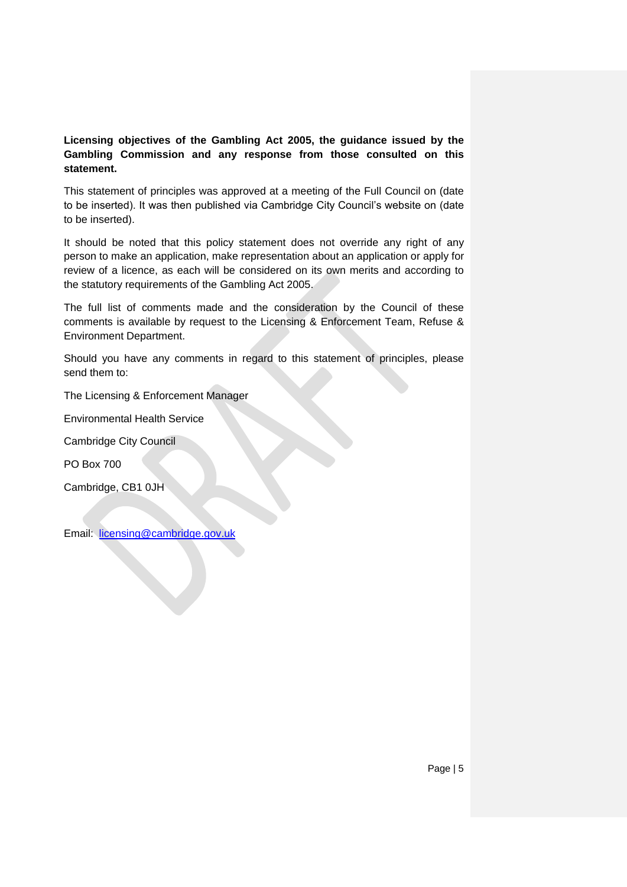## **Licensing objectives of the Gambling Act 2005, the guidance issued by the Gambling Commission and any response from those consulted on this statement.**

This statement of principles was approved at a meeting of the Full Council on (date to be inserted). It was then published via Cambridge City Council's website on (date to be inserted).

It should be noted that this policy statement does not override any right of any person to make an application, make representation about an application or apply for review of a licence, as each will be considered on its own merits and according to the statutory requirements of the Gambling Act 2005.

The full list of comments made and the consideration by the Council of these comments is available by request to the Licensing & Enforcement Team, Refuse & Environment Department.

Should you have any comments in regard to this statement of principles, please send them to:

The Licensing & Enforcement Manager

Environmental Health Service

Cambridge City Council

PO Box 700

Cambridge, CB1 0JH

Email: [licensing@cambridge.gov.uk](mailto:licensing@cambridge.gov.uk)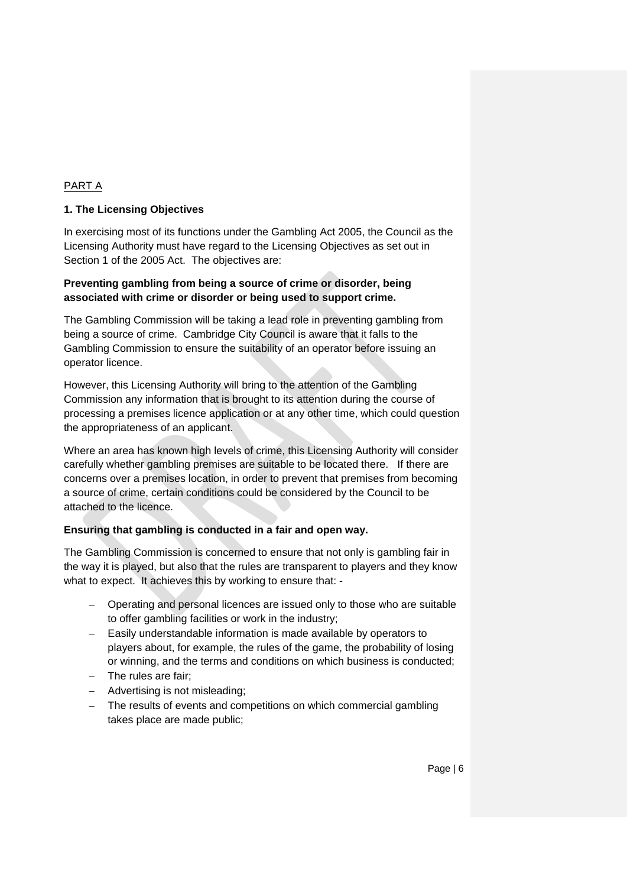# PART A

## **1. The Licensing Objectives**

In exercising most of its functions under the Gambling Act 2005, the Council as the Licensing Authority must have regard to the Licensing Objectives as set out in Section 1 of the 2005 Act. The objectives are:

## **Preventing gambling from being a source of crime or disorder, being associated with crime or disorder or being used to support crime.**

The Gambling Commission will be taking a lead role in preventing gambling from being a source of crime. Cambridge City Council is aware that it falls to the Gambling Commission to ensure the suitability of an operator before issuing an operator licence.

However, this Licensing Authority will bring to the attention of the Gambling Commission any information that is brought to its attention during the course of processing a premises licence application or at any other time, which could question the appropriateness of an applicant.

Where an area has known high levels of crime, this Licensing Authority will consider carefully whether gambling premises are suitable to be located there. If there are concerns over a premises location, in order to prevent that premises from becoming a source of crime, certain conditions could be considered by the Council to be attached to the licence.

#### **Ensuring that gambling is conducted in a fair and open way.**

The Gambling Commission is concerned to ensure that not only is gambling fair in the way it is played, but also that the rules are transparent to players and they know what to expect. It achieves this by working to ensure that: -

- Operating and personal licences are issued only to those who are suitable to offer gambling facilities or work in the industry;
- Easily understandable information is made available by operators to players about, for example, the rules of the game, the probability of losing or winning, and the terms and conditions on which business is conducted;
- $-$  The rules are fair;
- Advertising is not misleading;
- The results of events and competitions on which commercial gambling takes place are made public;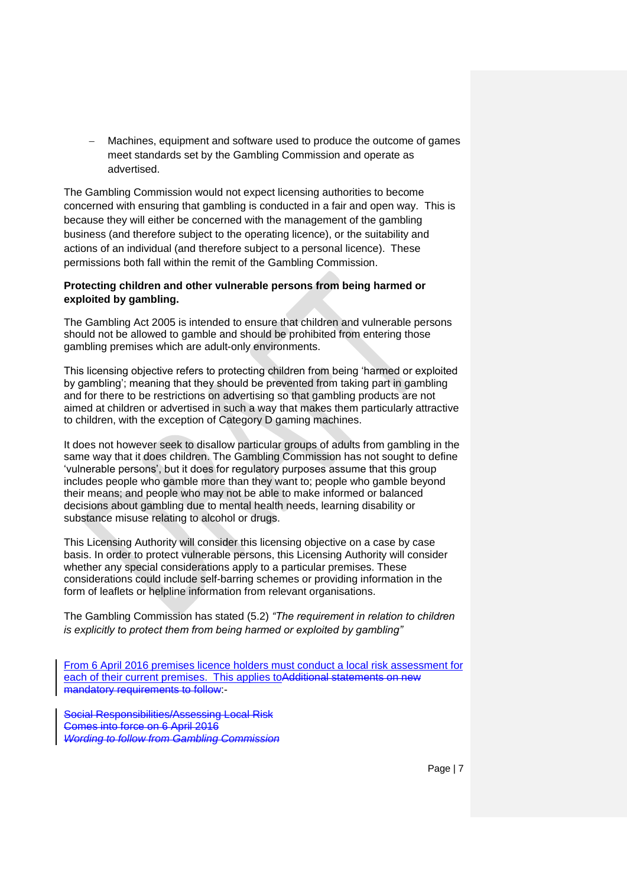Machines, equipment and software used to produce the outcome of games meet standards set by the Gambling Commission and operate as advertised.

The Gambling Commission would not expect licensing authorities to become concerned with ensuring that gambling is conducted in a fair and open way. This is because they will either be concerned with the management of the gambling business (and therefore subject to the operating licence), or the suitability and actions of an individual (and therefore subject to a personal licence). These permissions both fall within the remit of the Gambling Commission.

#### **Protecting children and other vulnerable persons from being harmed or exploited by gambling.**

The Gambling Act 2005 is intended to ensure that children and vulnerable persons should not be allowed to gamble and should be prohibited from entering those gambling premises which are adult-only environments.

This licensing objective refers to protecting children from being 'harmed or exploited by gambling'; meaning that they should be prevented from taking part in gambling and for there to be restrictions on advertising so that gambling products are not aimed at children or advertised in such a way that makes them particularly attractive to children, with the exception of Category D gaming machines.

It does not however seek to disallow particular groups of adults from gambling in the same way that it does children. The Gambling Commission has not sought to define 'vulnerable persons', but it does for regulatory purposes assume that this group includes people who gamble more than they want to; people who gamble beyond their means; and people who may not be able to make informed or balanced decisions about gambling due to mental health needs, learning disability or substance misuse relating to alcohol or drugs.

This Licensing Authority will consider this licensing objective on a case by case basis. In order to protect vulnerable persons, this Licensing Authority will consider whether any special considerations apply to a particular premises. These considerations could include self-barring schemes or providing information in the form of leaflets or helpline information from relevant organisations.

The Gambling Commission has stated (5.2) *"The requirement in relation to children is explicitly to protect them from being harmed or exploited by gambling"*

From 6 April 2016 premises licence holders must conduct a local risk assessment for each of their current premises. This applies to Additional statements on new mandatory requirements to follow:-

Social Responsibilities/Assessing Local Risk Comes into force on 6 April 2016 *Wording to follow from Gambling Commission*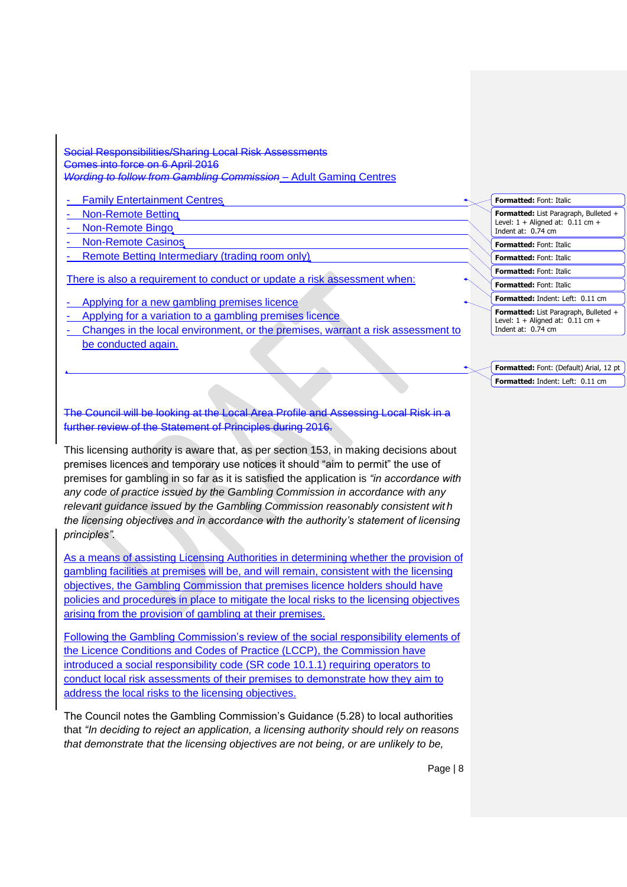Social Responsibilities/Sharing Local Risk Assessments Comes into force on 6 April 2016 *Wording to follow from Gambling Commission* – Adult Gaming Centres

- Family Entertainment Centres
- Non-Remote Betting
- Non-Remote Bingo
- Non-Remote Casinos
- Remote Betting Intermediary (trading room only)

There is also a requirement to conduct or update a risk assessment when:

- Applying for a new gambling premises licence
- Applying for a variation to a gambling premises licence
- Changes in the local environment, or the premises, warrant a risk assessment to be conducted again.

The Council will be looking at the Local Area Profile and Assessing Local Risk in a further review of the Statement of Principles during 2016.

This licensing authority is aware that, as per section 153, in making decisions about premises licences and temporary use notices it should "aim to permit" the use of premises for gambling in so far as it is satisfied the application is *"in accordance with any code of practice issued by the Gambling Commission in accordance with any relevant guidance issued by the Gambling Commission reasonably consistent wit h the licensing objectives and in accordance with the authority's statement of licensing principles".*

As a means of assisting Licensing Authorities in determining whether the provision of gambling facilities at premises will be, and will remain, consistent with the licensing objectives, the Gambling Commission that premises licence holders should have policies and procedures in place to mitigate the local risks to the licensing objectives arising from the provision of gambling at their premises.

Following the Gambling Commission's review of the social responsibility elements of the Licence Conditions and Codes of Practice (LCCP), the Commission have introduced a social responsibility code (SR code 10.1.1) requiring operators to conduct local risk assessments of their premises to demonstrate how they aim to address the local risks to the licensing objectives.

The Council notes the Gambling Commission's Guidance (5.28) to local authorities that *"In deciding to reject an application, a licensing authority should rely on reasons that demonstrate that the licensing objectives are not being, or are unlikely to be,* 

**Formatted:** Font: (Default) Arial, 12 pt **Formatted:** Indent: Left: 0.11 cm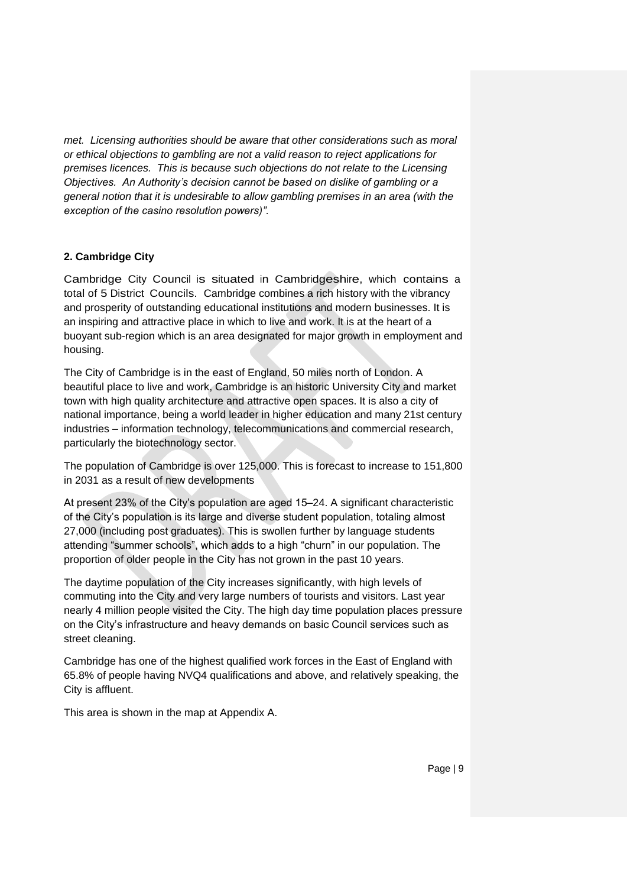*met. Licensing authorities should be aware that other considerations such as moral or ethical objections to gambling are not a valid reason to reject applications for premises licences. This is because such objections do not relate to the Licensing Objectives. An Authority's decision cannot be based on dislike of gambling or a general notion that it is undesirable to allow gambling premises in an area (with the exception of the casino resolution powers)".*

## **2. Cambridge City**

Cambridge City Council is situated in Cambridgeshire, which contains a total of 5 District Councils. Cambridge combines a rich history with the vibrancy and prosperity of outstanding educational institutions and modern businesses. It is an inspiring and attractive place in which to live and work. It is at the heart of a buoyant sub-region which is an area designated for major growth in employment and housing.

The City of Cambridge is in the east of England, 50 miles north of London. A beautiful place to live and work, Cambridge is an historic University City and market town with high quality architecture and attractive open spaces. It is also a city of national importance, being a world leader in higher education and many 21st century industries – information technology, telecommunications and commercial research, particularly the biotechnology sector.

The population of Cambridge is over 125,000. This is forecast to increase to 151,800 in 2031 as a result of new developments

At present 23% of the City's population are aged 15–24. A significant characteristic of the City's population is its large and diverse student population, totaling almost 27,000 (including post graduates). This is swollen further by language students attending "summer schools", which adds to a high "churn" in our population. The proportion of older people in the City has not grown in the past 10 years.

The daytime population of the City increases significantly, with high levels of commuting into the City and very large numbers of tourists and visitors. Last year nearly 4 million people visited the City. The high day time population places pressure on the City's infrastructure and heavy demands on basic Council services such as street cleaning.

Cambridge has one of the highest qualified work forces in the East of England with 65.8% of people having NVQ4 qualifications and above, and relatively speaking, the City is affluent.

This area is shown in the map at Appendix A.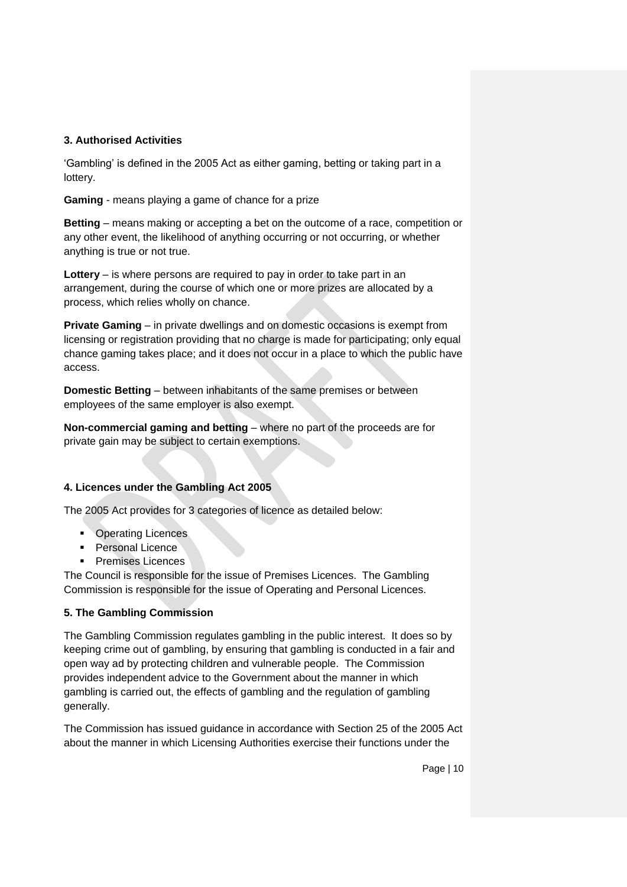#### **3. Authorised Activities**

'Gambling' is defined in the 2005 Act as either gaming, betting or taking part in a lottery.

**Gaming** - means playing a game of chance for a prize

**Betting** – means making or accepting a bet on the outcome of a race, competition or any other event, the likelihood of anything occurring or not occurring, or whether anything is true or not true.

**Lottery** – is where persons are required to pay in order to take part in an arrangement, during the course of which one or more prizes are allocated by a process, which relies wholly on chance.

**Private Gaming** – in private dwellings and on domestic occasions is exempt from licensing or registration providing that no charge is made for participating; only equal chance gaming takes place; and it does not occur in a place to which the public have access.

**Domestic Betting** – between inhabitants of the same premises or between employees of the same employer is also exempt.

**Non-commercial gaming and betting** – where no part of the proceeds are for private gain may be subject to certain exemptions.

# **4. Licences under the Gambling Act 2005**

The 2005 Act provides for 3 categories of licence as detailed below:

- **Operating Licences**
- **Personal Licence**
- **Premises Licences**

The Council is responsible for the issue of Premises Licences. The Gambling Commission is responsible for the issue of Operating and Personal Licences.

# **5. The Gambling Commission**

The Gambling Commission regulates gambling in the public interest. It does so by keeping crime out of gambling, by ensuring that gambling is conducted in a fair and open way ad by protecting children and vulnerable people. The Commission provides independent advice to the Government about the manner in which gambling is carried out, the effects of gambling and the regulation of gambling generally.

The Commission has issued guidance in accordance with Section 25 of the 2005 Act about the manner in which Licensing Authorities exercise their functions under the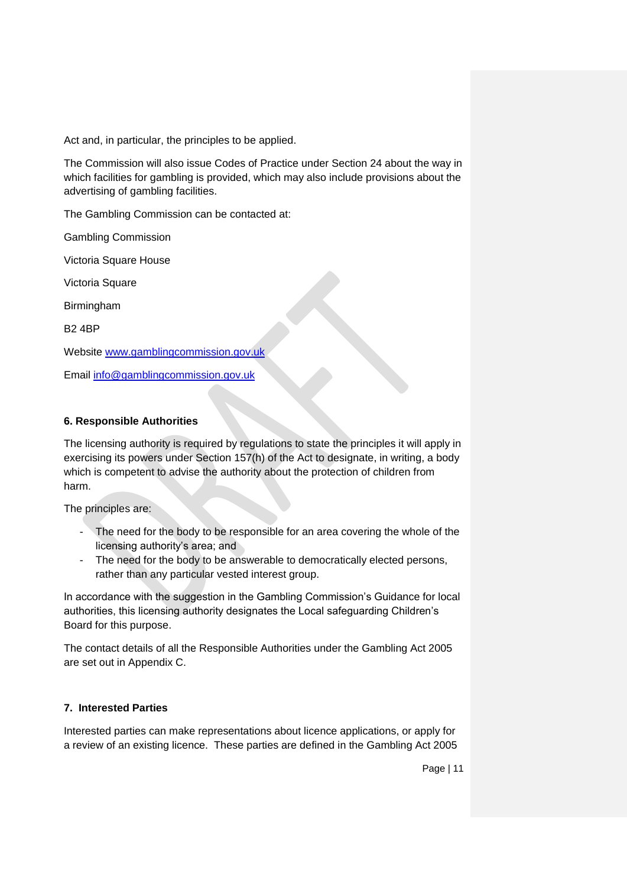Act and, in particular, the principles to be applied.

The Commission will also issue Codes of Practice under Section 24 about the way in which facilities for gambling is provided, which may also include provisions about the advertising of gambling facilities.

The Gambling Commission can be contacted at:

Gambling Commission

Victoria Square House

Victoria Square

Birmingham

B2 4BP

Website [www.gamblingcommission.gov.uk](http://www.gamblingcommission.gov.uk/)

Email [info@gamblingcommission.gov.uk](mailto:info@gamblingcommission.gov.uk)

#### **6. Responsible Authorities**

The licensing authority is required by regulations to state the principles it will apply in exercising its powers under Section 157(h) of the Act to designate, in writing, a body which is competent to advise the authority about the protection of children from harm.

The principles are:

- The need for the body to be responsible for an area covering the whole of the licensing authority's area; and
- The need for the body to be answerable to democratically elected persons, rather than any particular vested interest group.

In accordance with the suggestion in the Gambling Commission's Guidance for local authorities, this licensing authority designates the Local safeguarding Children's Board for this purpose.

The contact details of all the Responsible Authorities under the Gambling Act 2005 are set out in Appendix C.

#### **7. Interested Parties**

Interested parties can make representations about licence applications, or apply for a review of an existing licence. These parties are defined in the Gambling Act 2005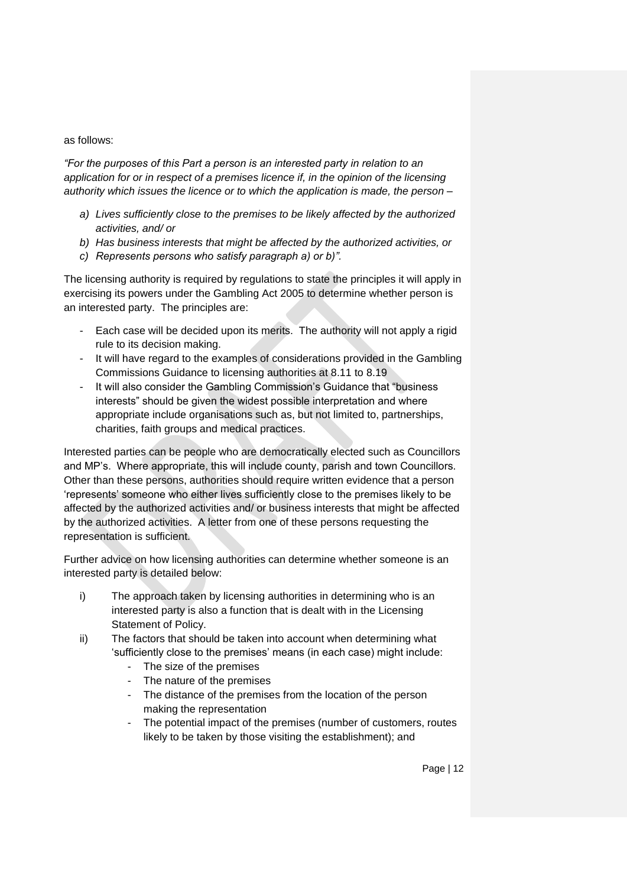#### as follows:

*"For the purposes of this Part a person is an interested party in relation to an application for or in respect of a premises licence if, in the opinion of the licensing authority which issues the licence or to which the application is made, the person –*

- *a) Lives sufficiently close to the premises to be likely affected by the authorized activities, and/ or*
- *b) Has business interests that might be affected by the authorized activities, or*
- *c) Represents persons who satisfy paragraph a) or b)".*

The licensing authority is required by regulations to state the principles it will apply in exercising its powers under the Gambling Act 2005 to determine whether person is an interested party. The principles are:

- Each case will be decided upon its merits. The authority will not apply a rigid rule to its decision making.
- It will have regard to the examples of considerations provided in the Gambling Commissions Guidance to licensing authorities at 8.11 to 8.19
- It will also consider the Gambling Commission's Guidance that "business interests" should be given the widest possible interpretation and where appropriate include organisations such as, but not limited to, partnerships, charities, faith groups and medical practices.

Interested parties can be people who are democratically elected such as Councillors and MP's. Where appropriate, this will include county, parish and town Councillors. Other than these persons, authorities should require written evidence that a person 'represents' someone who either lives sufficiently close to the premises likely to be affected by the authorized activities and/ or business interests that might be affected by the authorized activities. A letter from one of these persons requesting the representation is sufficient.

Further advice on how licensing authorities can determine whether someone is an interested party is detailed below:

- i) The approach taken by licensing authorities in determining who is an interested party is also a function that is dealt with in the Licensing Statement of Policy.
- ii) The factors that should be taken into account when determining what 'sufficiently close to the premises' means (in each case) might include:
	- The size of the premises
	- The nature of the premises
	- The distance of the premises from the location of the person making the representation
	- The potential impact of the premises (number of customers, routes likely to be taken by those visiting the establishment); and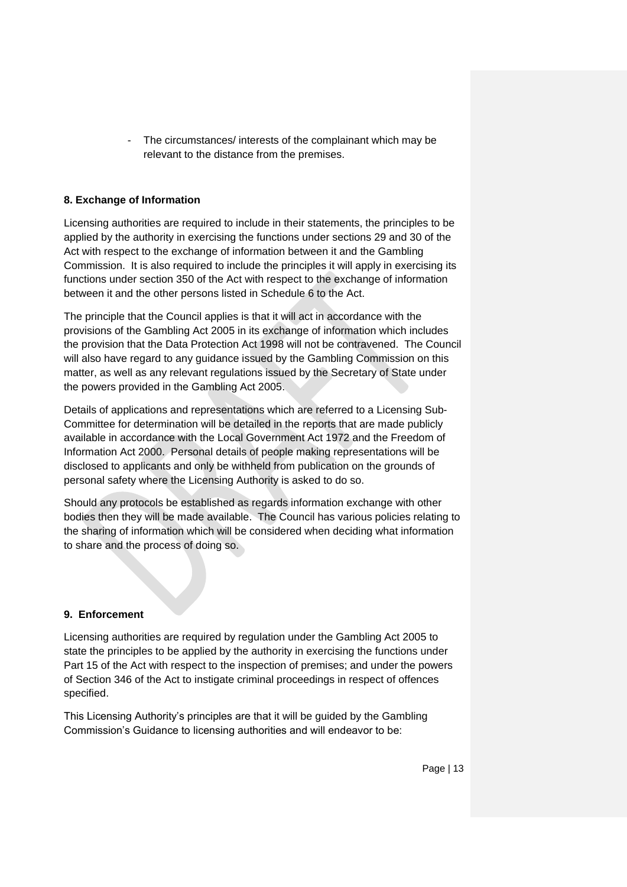The circumstances/ interests of the complainant which may be relevant to the distance from the premises.

## **8. Exchange of Information**

Licensing authorities are required to include in their statements, the principles to be applied by the authority in exercising the functions under sections 29 and 30 of the Act with respect to the exchange of information between it and the Gambling Commission. It is also required to include the principles it will apply in exercising its functions under section 350 of the Act with respect to the exchange of information between it and the other persons listed in Schedule 6 to the Act.

The principle that the Council applies is that it will act in accordance with the provisions of the Gambling Act 2005 in its exchange of information which includes the provision that the Data Protection Act 1998 will not be contravened. The Council will also have regard to any guidance issued by the Gambling Commission on this matter, as well as any relevant regulations issued by the Secretary of State under the powers provided in the Gambling Act 2005.

Details of applications and representations which are referred to a Licensing Sub-Committee for determination will be detailed in the reports that are made publicly available in accordance with the Local Government Act 1972 and the Freedom of Information Act 2000. Personal details of people making representations will be disclosed to applicants and only be withheld from publication on the grounds of personal safety where the Licensing Authority is asked to do so.

Should any protocols be established as regards information exchange with other bodies then they will be made available. The Council has various policies relating to the sharing of information which will be considered when deciding what information to share and the process of doing so.

# **9. Enforcement**

Licensing authorities are required by regulation under the Gambling Act 2005 to state the principles to be applied by the authority in exercising the functions under Part 15 of the Act with respect to the inspection of premises; and under the powers of Section 346 of the Act to instigate criminal proceedings in respect of offences specified.

This Licensing Authority's principles are that it will be guided by the Gambling Commission's Guidance to licensing authorities and will endeavor to be: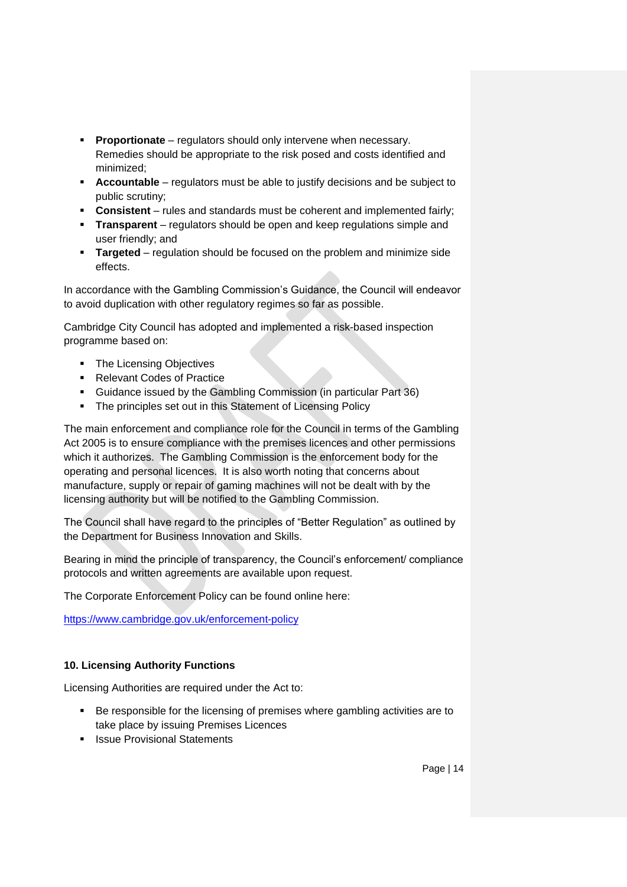- **Proportionate** regulators should only intervene when necessary. Remedies should be appropriate to the risk posed and costs identified and minimized;
- **Accountable** regulators must be able to justify decisions and be subject to public scrutiny;
- **Consistent** rules and standards must be coherent and implemented fairly;
- **Transparent** regulators should be open and keep regulations simple and user friendly; and
- **Targeted** regulation should be focused on the problem and minimize side effects.

In accordance with the Gambling Commission's Guidance, the Council will endeavor to avoid duplication with other regulatory regimes so far as possible.

Cambridge City Council has adopted and implemented a risk-based inspection programme based on:

- **The Licensing Objectives**
- Relevant Codes of Practice
- Guidance issued by the Gambling Commission (in particular Part 36)
- The principles set out in this Statement of Licensing Policy

The main enforcement and compliance role for the Council in terms of the Gambling Act 2005 is to ensure compliance with the premises licences and other permissions which it authorizes. The Gambling Commission is the enforcement body for the operating and personal licences. It is also worth noting that concerns about manufacture, supply or repair of gaming machines will not be dealt with by the licensing authority but will be notified to the Gambling Commission.

The Council shall have regard to the principles of "Better Regulation" as outlined by the Department for Business Innovation and Skills.

Bearing in mind the principle of transparency, the Council's enforcement/ compliance protocols and written agreements are available upon request.

The Corporate Enforcement Policy can be found online here:

<https://www.cambridge.gov.uk/enforcement-policy>

# **10. Licensing Authority Functions**

Licensing Authorities are required under the Act to:

- Be responsible for the licensing of premises where gambling activities are to take place by issuing Premises Licences
- **In Issue Provisional Statements**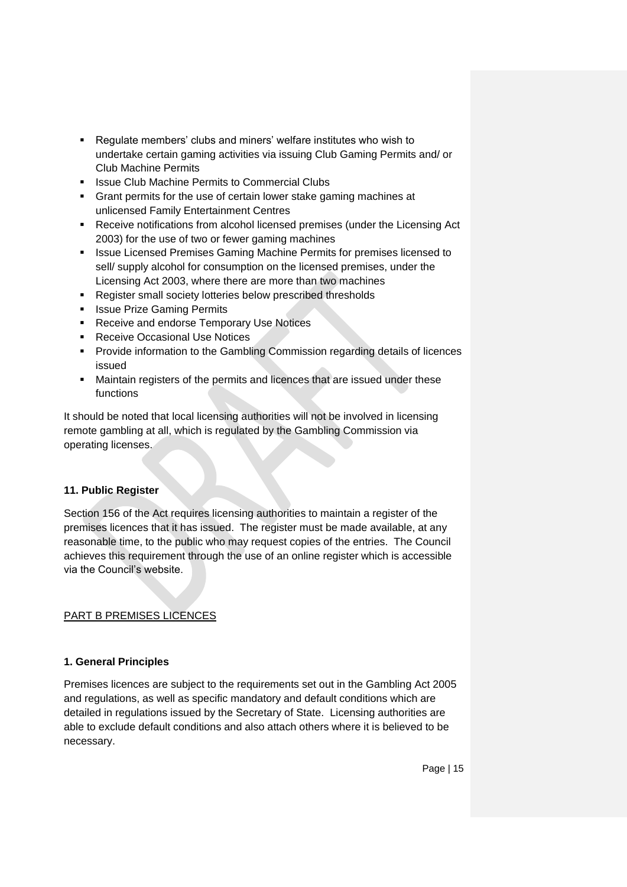- Regulate members' clubs and miners' welfare institutes who wish to undertake certain gaming activities via issuing Club Gaming Permits and/ or Club Machine Permits
- **EXECUTE:** Issue Club Machine Permits to Commercial Clubs
- Grant permits for the use of certain lower stake gaming machines at unlicensed Family Entertainment Centres
- Receive notifications from alcohol licensed premises (under the Licensing Act 2003) for the use of two or fewer gaming machines
- **In Italye 2 issue Licensed Premises Gaming Machine Permits for premises licensed to** sell/ supply alcohol for consumption on the licensed premises, under the Licensing Act 2003, where there are more than two machines
- **Register small society lotteries below prescribed thresholds**
- **In Issue Prize Gaming Permits**
- **Receive and endorse Temporary Use Notices**
- **Receive Occasional Use Notices**
- **Provide information to the Gambling Commission regarding details of licences** issued
- Maintain registers of the permits and licences that are issued under these functions

It should be noted that local licensing authorities will not be involved in licensing remote gambling at all, which is regulated by the Gambling Commission via operating licenses.

#### **11. Public Register**

Section 156 of the Act requires licensing authorities to maintain a register of the premises licences that it has issued. The register must be made available, at any reasonable time, to the public who may request copies of the entries. The Council achieves this requirement through the use of an online register which is accessible via the Council's website.

# PART B PREMISES LICENCES

#### **1. General Principles**

Premises licences are subject to the requirements set out in the Gambling Act 2005 and regulations, as well as specific mandatory and default conditions which are detailed in regulations issued by the Secretary of State. Licensing authorities are able to exclude default conditions and also attach others where it is believed to be necessary.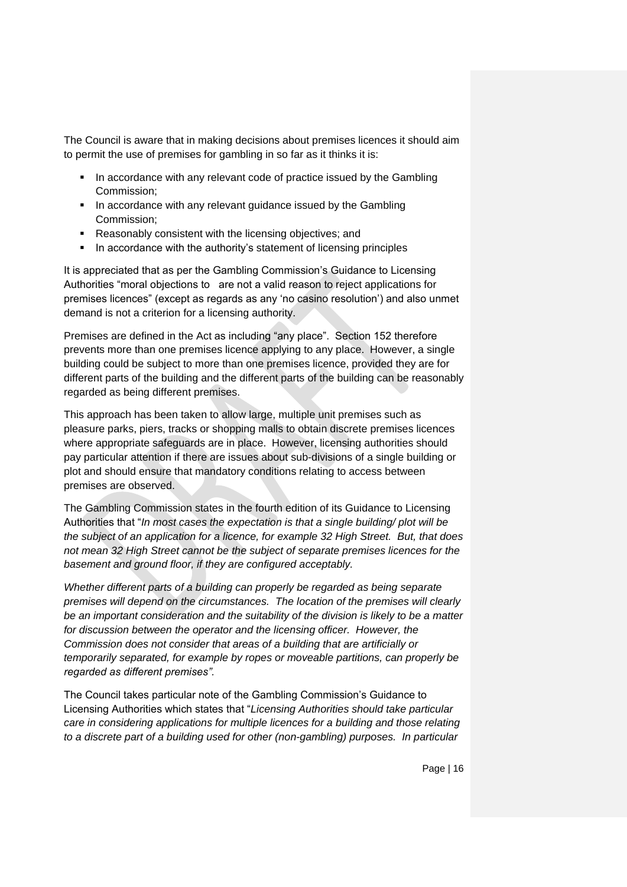The Council is aware that in making decisions about premises licences it should aim to permit the use of premises for gambling in so far as it thinks it is:

- In accordance with any relevant code of practice issued by the Gambling Commission;
- **IF** In accordance with any relevant guidance issued by the Gambling Commission;
- Reasonably consistent with the licensing objectives; and
- In accordance with the authority's statement of licensing principles

It is appreciated that as per the Gambling Commission's Guidance to Licensing Authorities "moral objections to are not a valid reason to reject applications for premises licences" (except as regards as any 'no casino resolution') and also unmet demand is not a criterion for a licensing authority.

Premises are defined in the Act as including "any place". Section 152 therefore prevents more than one premises licence applying to any place. However, a single building could be subject to more than one premises licence, provided they are for different parts of the building and the different parts of the building can be reasonably regarded as being different premises.

This approach has been taken to allow large, multiple unit premises such as pleasure parks, piers, tracks or shopping malls to obtain discrete premises licences where appropriate safeguards are in place. However, licensing authorities should pay particular attention if there are issues about sub-divisions of a single building or plot and should ensure that mandatory conditions relating to access between premises are observed.

The Gambling Commission states in the fourth edition of its Guidance to Licensing Authorities that "*In most cases the expectation is that a single building/ plot will be the subject of an application for a licence, for example 32 High Street. But, that does not mean 32 High Street cannot be the subject of separate premises licences for the basement and ground floor, if they are configured acceptably.*

*Whether different parts of a building can properly be regarded as being separate premises will depend on the circumstances. The location of the premises will clearly be an important consideration and the suitability of the division is likely to be a matter for discussion between the operator and the licensing officer. However, the Commission does not consider that areas of a building that are artificially or temporarily separated, for example by ropes or moveable partitions, can properly be regarded as different premises".*

The Council takes particular note of the Gambling Commission's Guidance to Licensing Authorities which states that "*Licensing Authorities should take particular care in considering applications for multiple licences for a building and those relating to a discrete part of a building used for other (non-gambling) purposes. In particular*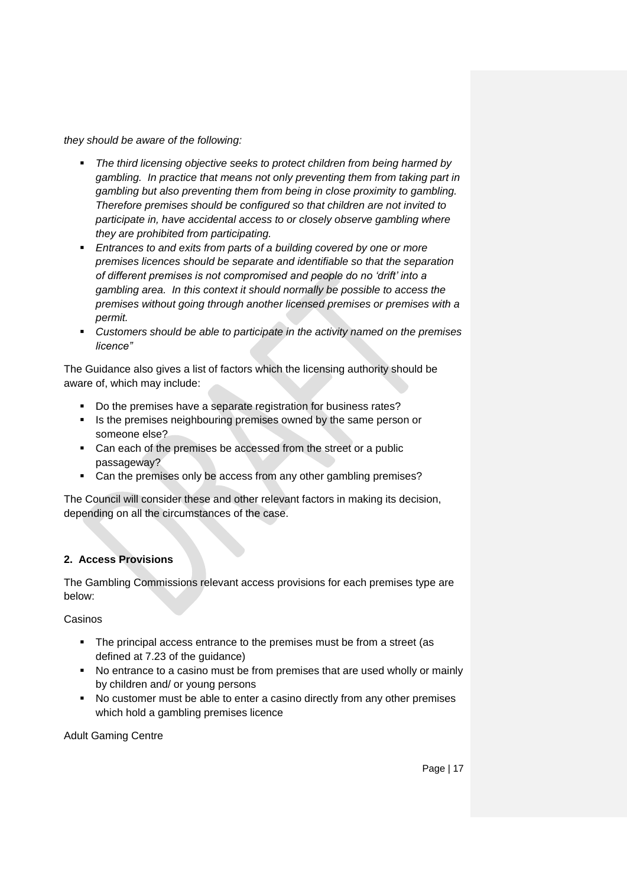*they should be aware of the following:*

- *The third licensing objective seeks to protect children from being harmed by gambling. In practice that means not only preventing them from taking part in gambling but also preventing them from being in close proximity to gambling. Therefore premises should be configured so that children are not invited to participate in, have accidental access to or closely observe gambling where they are prohibited from participating.*
- **Entrances to and exits from parts of a building covered by one or more** *premises licences should be separate and identifiable so that the separation of different premises is not compromised and people do no 'drift' into a gambling area. In this context it should normally be possible to access the premises without going through another licensed premises or premises with a permit.*
- *Customers should be able to participate in the activity named on the premises licence"*

The Guidance also gives a list of factors which the licensing authority should be aware of, which may include:

- Do the premises have a separate registration for business rates?
- **IS the premises neighbouring premises owned by the same person or** someone else?
- Can each of the premises be accessed from the street or a public passageway?
- Can the premises only be access from any other gambling premises?

The Council will consider these and other relevant factors in making its decision, depending on all the circumstances of the case.

#### **2. Access Provisions**

The Gambling Commissions relevant access provisions for each premises type are below:

Casinos

- The principal access entrance to the premises must be from a street (as defined at 7.23 of the guidance)
- No entrance to a casino must be from premises that are used wholly or mainly by children and/ or young persons
- No customer must be able to enter a casino directly from any other premises which hold a gambling premises licence

Adult Gaming Centre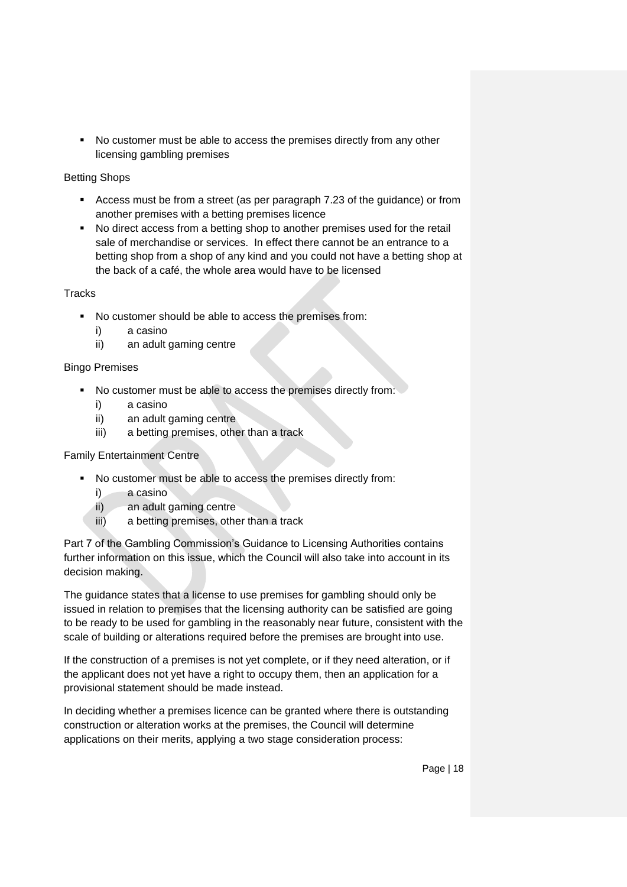• No customer must be able to access the premises directly from any other licensing gambling premises

## Betting Shops

- Access must be from a street (as per paragraph 7.23 of the guidance) or from another premises with a betting premises licence
- No direct access from a betting shop to another premises used for the retail sale of merchandise or services. In effect there cannot be an entrance to a betting shop from a shop of any kind and you could not have a betting shop at the back of a café, the whole area would have to be licensed

## **Tracks**

- No customer should be able to access the premises from:
	- i) a casino
	- ii) an adult gaming centre

## Bingo Premises

- No customer must be able to access the premises directly from:
	- i) a casino
	- ii) an adult gaming centre
	- iii) a betting premises, other than a track

# Family Entertainment Centre

- No customer must be able to access the premises directly from:
	- i) a casino
	- ii) an adult gaming centre
	- iii) a betting premises, other than a track

Part 7 of the Gambling Commission's Guidance to Licensing Authorities contains further information on this issue, which the Council will also take into account in its decision making.

The guidance states that a license to use premises for gambling should only be issued in relation to premises that the licensing authority can be satisfied are going to be ready to be used for gambling in the reasonably near future, consistent with the scale of building or alterations required before the premises are brought into use.

If the construction of a premises is not yet complete, or if they need alteration, or if the applicant does not yet have a right to occupy them, then an application for a provisional statement should be made instead.

In deciding whether a premises licence can be granted where there is outstanding construction or alteration works at the premises, the Council will determine applications on their merits, applying a two stage consideration process: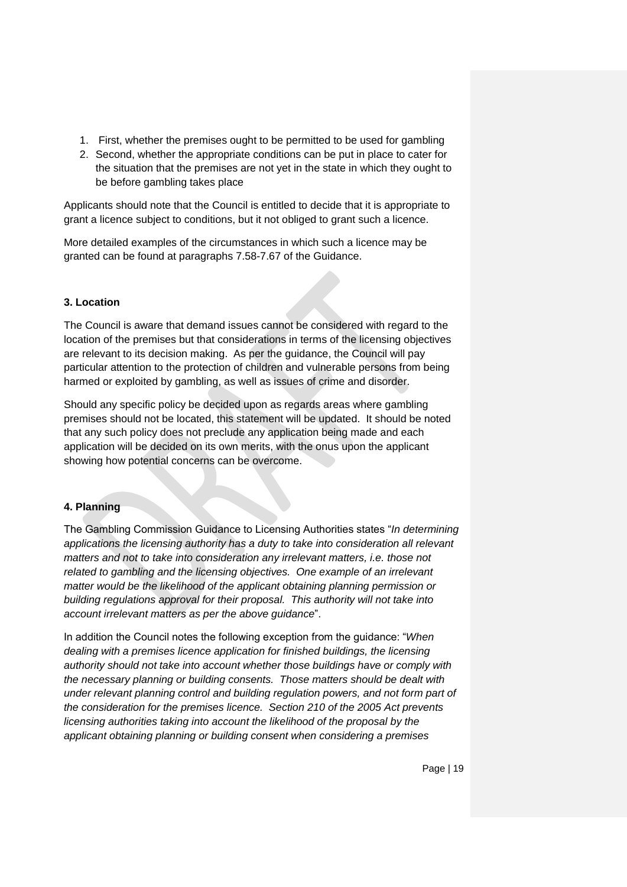- 1. First, whether the premises ought to be permitted to be used for gambling
- 2. Second, whether the appropriate conditions can be put in place to cater for the situation that the premises are not yet in the state in which they ought to be before gambling takes place

Applicants should note that the Council is entitled to decide that it is appropriate to grant a licence subject to conditions, but it not obliged to grant such a licence.

More detailed examples of the circumstances in which such a licence may be granted can be found at paragraphs 7.58-7.67 of the Guidance.

#### **3. Location**

The Council is aware that demand issues cannot be considered with regard to the location of the premises but that considerations in terms of the licensing objectives are relevant to its decision making. As per the guidance, the Council will pay particular attention to the protection of children and vulnerable persons from being harmed or exploited by gambling, as well as issues of crime and disorder.

Should any specific policy be decided upon as regards areas where gambling premises should not be located, this statement will be updated. It should be noted that any such policy does not preclude any application being made and each application will be decided on its own merits, with the onus upon the applicant showing how potential concerns can be overcome.

#### **4. Planning**

The Gambling Commission Guidance to Licensing Authorities states "*In determining applications the licensing authority has a duty to take into consideration all relevant matters and not to take into consideration any irrelevant matters, i.e. those not related to gambling and the licensing objectives. One example of an irrelevant matter would be the likelihood of the applicant obtaining planning permission or building regulations approval for their proposal. This authority will not take into account irrelevant matters as per the above guidance*".

In addition the Council notes the following exception from the guidance: "*When dealing with a premises licence application for finished buildings, the licensing authority should not take into account whether those buildings have or comply with the necessary planning or building consents. Those matters should be dealt with under relevant planning control and building regulation powers, and not form part of the consideration for the premises licence. Section 210 of the 2005 Act prevents licensing authorities taking into account the likelihood of the proposal by the applicant obtaining planning or building consent when considering a premises*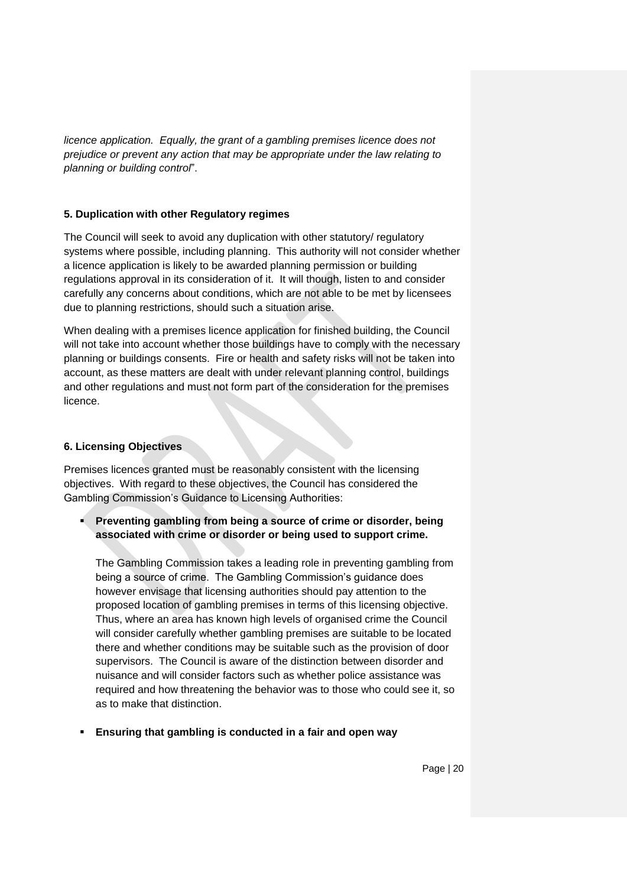*licence application. Equally, the grant of a gambling premises licence does not prejudice or prevent any action that may be appropriate under the law relating to planning or building control*".

#### **5. Duplication with other Regulatory regimes**

The Council will seek to avoid any duplication with other statutory/ regulatory systems where possible, including planning. This authority will not consider whether a licence application is likely to be awarded planning permission or building regulations approval in its consideration of it. It will though, listen to and consider carefully any concerns about conditions, which are not able to be met by licensees due to planning restrictions, should such a situation arise.

When dealing with a premises licence application for finished building, the Council will not take into account whether those buildings have to comply with the necessary planning or buildings consents. Fire or health and safety risks will not be taken into account, as these matters are dealt with under relevant planning control, buildings and other regulations and must not form part of the consideration for the premises licence.

# **6. Licensing Objectives**

Premises licences granted must be reasonably consistent with the licensing objectives. With regard to these objectives, the Council has considered the Gambling Commission's Guidance to Licensing Authorities:

# **Preventing gambling from being a source of crime or disorder, being associated with crime or disorder or being used to support crime.**

The Gambling Commission takes a leading role in preventing gambling from being a source of crime. The Gambling Commission's guidance does however envisage that licensing authorities should pay attention to the proposed location of gambling premises in terms of this licensing objective. Thus, where an area has known high levels of organised crime the Council will consider carefully whether gambling premises are suitable to be located there and whether conditions may be suitable such as the provision of door supervisors. The Council is aware of the distinction between disorder and nuisance and will consider factors such as whether police assistance was required and how threatening the behavior was to those who could see it, so as to make that distinction.

**Ensuring that gambling is conducted in a fair and open way**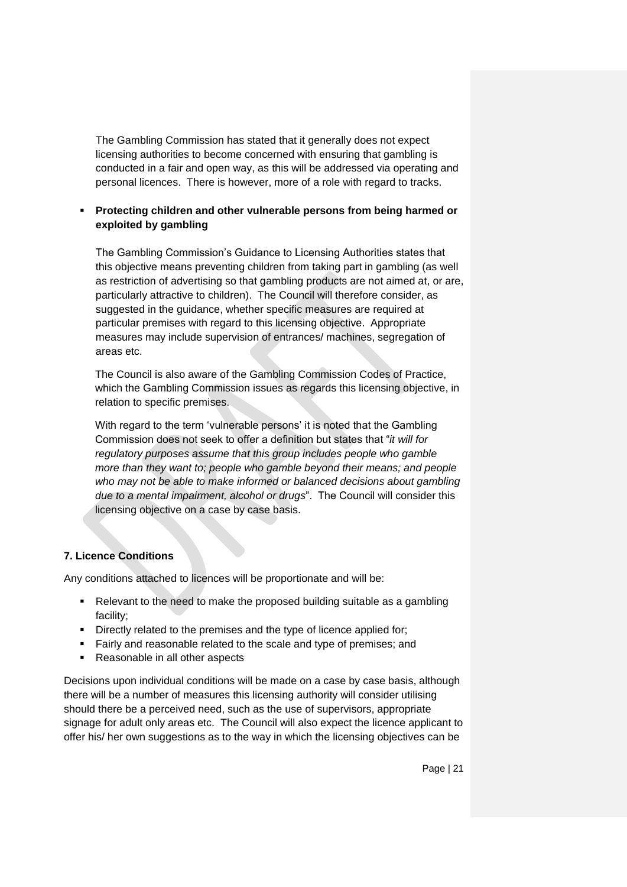The Gambling Commission has stated that it generally does not expect licensing authorities to become concerned with ensuring that gambling is conducted in a fair and open way, as this will be addressed via operating and personal licences. There is however, more of a role with regard to tracks.

## **Protecting children and other vulnerable persons from being harmed or exploited by gambling**

The Gambling Commission's Guidance to Licensing Authorities states that this objective means preventing children from taking part in gambling (as well as restriction of advertising so that gambling products are not aimed at, or are, particularly attractive to children). The Council will therefore consider, as suggested in the guidance, whether specific measures are required at particular premises with regard to this licensing objective. Appropriate measures may include supervision of entrances/ machines, segregation of areas etc.

The Council is also aware of the Gambling Commission Codes of Practice, which the Gambling Commission issues as regards this licensing objective, in relation to specific premises.

With regard to the term 'vulnerable persons' it is noted that the Gambling Commission does not seek to offer a definition but states that "*it will for regulatory purposes assume that this group includes people who gamble more than they want to; people who gamble beyond their means; and people who may not be able to make informed or balanced decisions about gambling due to a mental impairment, alcohol or drugs*". The Council will consider this licensing objective on a case by case basis.

#### **7. Licence Conditions**

Any conditions attached to licences will be proportionate and will be:

- Relevant to the need to make the proposed building suitable as a gambling facility;
- Directly related to the premises and the type of licence applied for;
- **Fairly and reasonable related to the scale and type of premises; and**
- Reasonable in all other aspects

Decisions upon individual conditions will be made on a case by case basis, although there will be a number of measures this licensing authority will consider utilising should there be a perceived need, such as the use of supervisors, appropriate signage for adult only areas etc. The Council will also expect the licence applicant to offer his/ her own suggestions as to the way in which the licensing objectives can be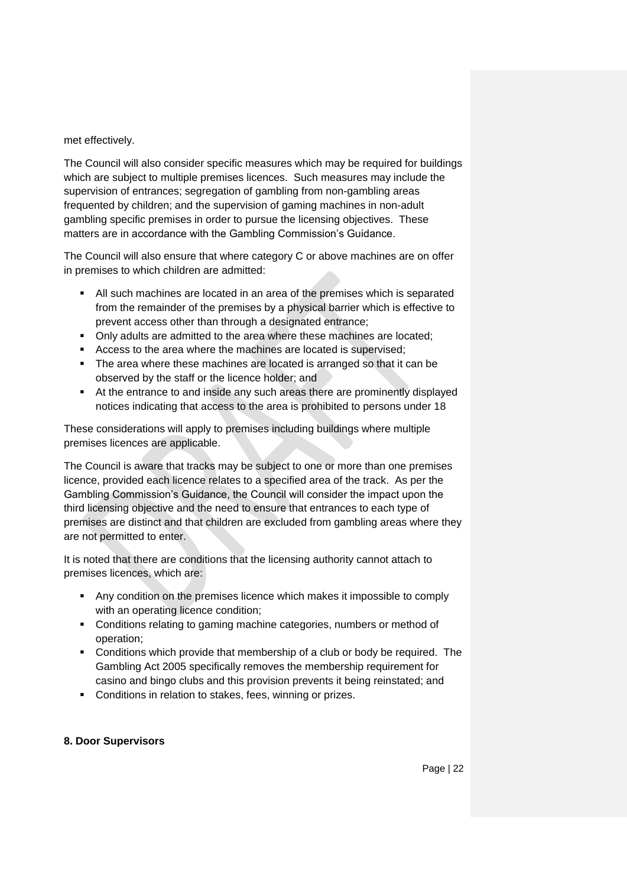met effectively.

The Council will also consider specific measures which may be required for buildings which are subject to multiple premises licences. Such measures may include the supervision of entrances; segregation of gambling from non-gambling areas frequented by children; and the supervision of gaming machines in non-adult gambling specific premises in order to pursue the licensing objectives. These matters are in accordance with the Gambling Commission's Guidance.

The Council will also ensure that where category C or above machines are on offer in premises to which children are admitted:

- All such machines are located in an area of the premises which is separated from the remainder of the premises by a physical barrier which is effective to prevent access other than through a designated entrance;
- Only adults are admitted to the area where these machines are located;
- Access to the area where the machines are located is supervised;
- The area where these machines are located is arranged so that it can be observed by the staff or the licence holder; and
- At the entrance to and inside any such areas there are prominently displayed notices indicating that access to the area is prohibited to persons under 18

These considerations will apply to premises including buildings where multiple premises licences are applicable.

The Council is aware that tracks may be subject to one or more than one premises licence, provided each licence relates to a specified area of the track. As per the Gambling Commission's Guidance, the Council will consider the impact upon the third licensing objective and the need to ensure that entrances to each type of premises are distinct and that children are excluded from gambling areas where they are not permitted to enter.

It is noted that there are conditions that the licensing authority cannot attach to premises licences, which are:

- Any condition on the premises licence which makes it impossible to comply with an operating licence condition;
- Conditions relating to gaming machine categories, numbers or method of operation;
- Conditions which provide that membership of a club or body be required. The Gambling Act 2005 specifically removes the membership requirement for casino and bingo clubs and this provision prevents it being reinstated; and
- **Conditions in relation to stakes, fees, winning or prizes.**

#### **8. Door Supervisors**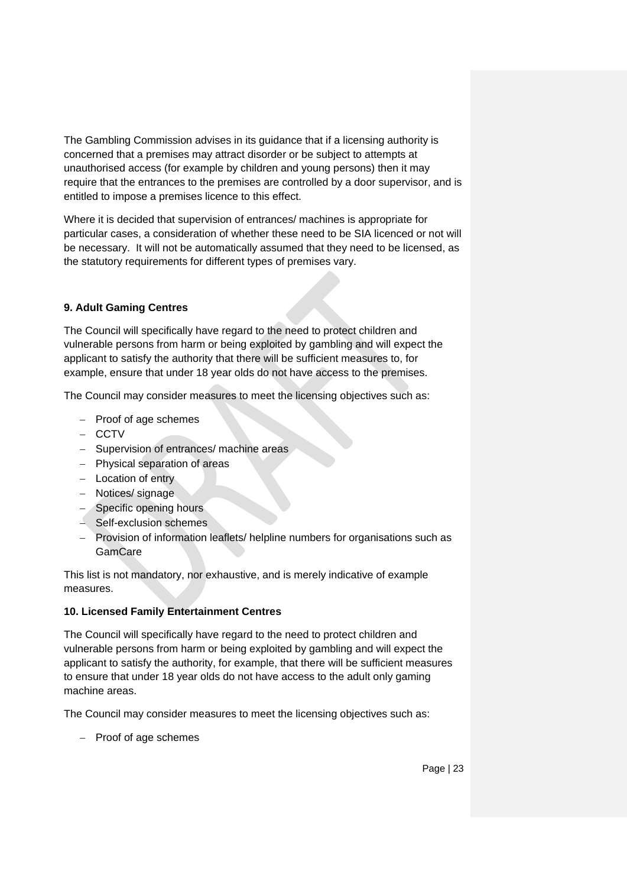The Gambling Commission advises in its guidance that if a licensing authority is concerned that a premises may attract disorder or be subject to attempts at unauthorised access (for example by children and young persons) then it may require that the entrances to the premises are controlled by a door supervisor, and is entitled to impose a premises licence to this effect.

Where it is decided that supervision of entrances/ machines is appropriate for particular cases, a consideration of whether these need to be SIA licenced or not will be necessary. It will not be automatically assumed that they need to be licensed, as the statutory requirements for different types of premises vary.

## **9. Adult Gaming Centres**

The Council will specifically have regard to the need to protect children and vulnerable persons from harm or being exploited by gambling and will expect the applicant to satisfy the authority that there will be sufficient measures to, for example, ensure that under 18 year olds do not have access to the premises.

The Council may consider measures to meet the licensing objectives such as:

- $-$  Proof of age schemes
- $-$  CCTV
- Supervision of entrances/ machine areas
- Physical separation of areas
- Location of entry
- Notices/ signage
- Specific opening hours
- Self-exclusion schemes
- Provision of information leaflets/ helpline numbers for organisations such as **GamCare**

This list is not mandatory, nor exhaustive, and is merely indicative of example measures.

#### **10. Licensed Family Entertainment Centres**

The Council will specifically have regard to the need to protect children and vulnerable persons from harm or being exploited by gambling and will expect the applicant to satisfy the authority, for example, that there will be sufficient measures to ensure that under 18 year olds do not have access to the adult only gaming machine areas.

The Council may consider measures to meet the licensing objectives such as:

 $-$  Proof of age schemes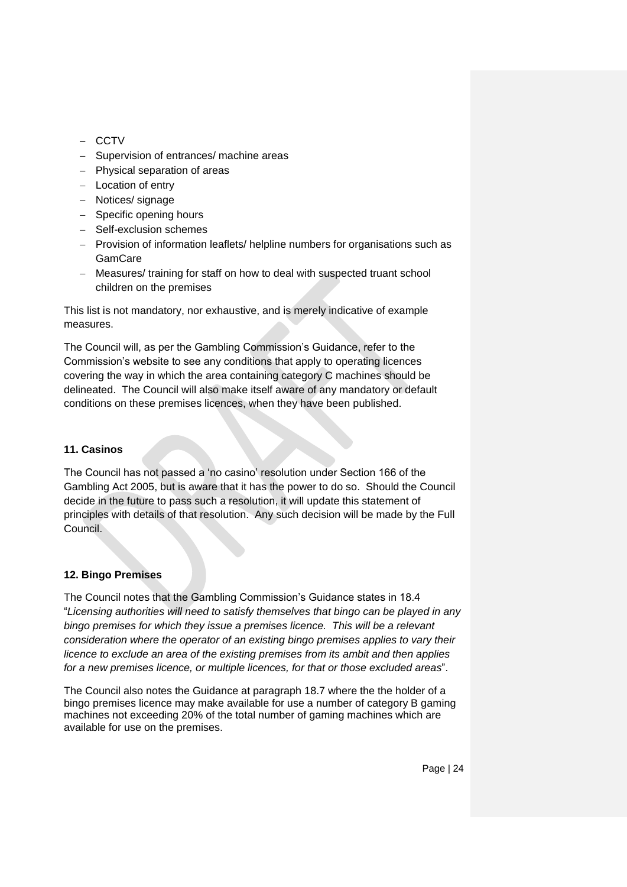- $-$  CCTV
- Supervision of entrances/ machine areas
- Physical separation of areas
- $-$  Location of entry
- Notices/ signage
- $-$  Specific opening hours
- Self-exclusion schemes
- Provision of information leaflets/ helpline numbers for organisations such as **GamCare**
- Measures/ training for staff on how to deal with suspected truant school children on the premises

This list is not mandatory, nor exhaustive, and is merely indicative of example measures.

The Council will, as per the Gambling Commission's Guidance, refer to the Commission's website to see any conditions that apply to operating licences covering the way in which the area containing category C machines should be delineated. The Council will also make itself aware of any mandatory or default conditions on these premises licences, when they have been published.

#### **11. Casinos**

The Council has not passed a 'no casino' resolution under Section 166 of the Gambling Act 2005, but is aware that it has the power to do so. Should the Council decide in the future to pass such a resolution, it will update this statement of principles with details of that resolution. Any such decision will be made by the Full Council.

#### **12. Bingo Premises**

The Council notes that the Gambling Commission's Guidance states in 18.4 "*Licensing authorities will need to satisfy themselves that bingo can be played in any bingo premises for which they issue a premises licence. This will be a relevant consideration where the operator of an existing bingo premises applies to vary their licence to exclude an area of the existing premises from its ambit and then applies for a new premises licence, or multiple licences, for that or those excluded areas*".

The Council also notes the Guidance at paragraph 18.7 where the the holder of a bingo premises licence may make available for use a number of category B gaming machines not exceeding 20% of the total number of gaming machines which are available for use on the premises.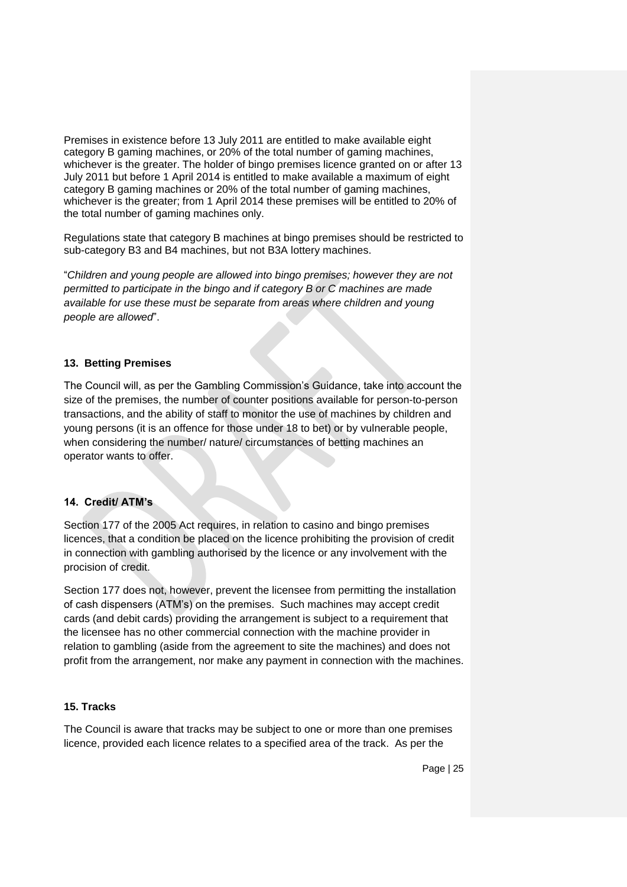Premises in existence before 13 July 2011 are entitled to make available eight category B gaming machines, or 20% of the total number of gaming machines, whichever is the greater. The holder of bingo premises licence granted on or after 13 July 2011 but before 1 April 2014 is entitled to make available a maximum of eight category B gaming machines or 20% of the total number of gaming machines, whichever is the greater; from 1 April 2014 these premises will be entitled to 20% of the total number of gaming machines only.

Regulations state that category B machines at bingo premises should be restricted to sub-category B3 and B4 machines, but not B3A lottery machines.

"*Children and young people are allowed into bingo premises; however they are not permitted to participate in the bingo and if category B or C machines are made available for use these must be separate from areas where children and young people are allowed*".

#### **13. Betting Premises**

The Council will, as per the Gambling Commission's Guidance, take into account the size of the premises, the number of counter positions available for person-to-person transactions, and the ability of staff to monitor the use of machines by children and young persons (it is an offence for those under 18 to bet) or by vulnerable people, when considering the number/ nature/ circumstances of betting machines an operator wants to offer.

#### **14. Credit/ ATM's**

Section 177 of the 2005 Act requires, in relation to casino and bingo premises licences, that a condition be placed on the licence prohibiting the provision of credit in connection with gambling authorised by the licence or any involvement with the procision of credit.

Section 177 does not, however, prevent the licensee from permitting the installation of cash dispensers (ATM's) on the premises. Such machines may accept credit cards (and debit cards) providing the arrangement is subject to a requirement that the licensee has no other commercial connection with the machine provider in relation to gambling (aside from the agreement to site the machines) and does not profit from the arrangement, nor make any payment in connection with the machines.

#### **15. Tracks**

The Council is aware that tracks may be subject to one or more than one premises licence, provided each licence relates to a specified area of the track. As per the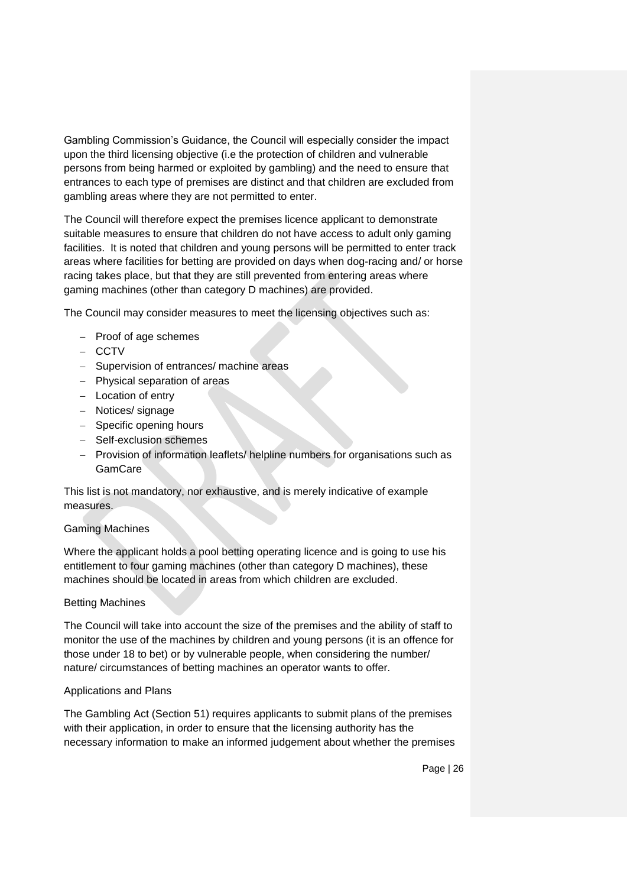Gambling Commission's Guidance, the Council will especially consider the impact upon the third licensing objective (i.e the protection of children and vulnerable persons from being harmed or exploited by gambling) and the need to ensure that entrances to each type of premises are distinct and that children are excluded from gambling areas where they are not permitted to enter.

The Council will therefore expect the premises licence applicant to demonstrate suitable measures to ensure that children do not have access to adult only gaming facilities. It is noted that children and young persons will be permitted to enter track areas where facilities for betting are provided on days when dog-racing and/ or horse racing takes place, but that they are still prevented from entering areas where gaming machines (other than category D machines) are provided.

The Council may consider measures to meet the licensing objectives such as:

- $-$  Proof of age schemes
- CCTV
- Supervision of entrances/ machine areas
- Physical separation of areas
- Location of entry
- Notices/ signage
- Specific opening hours
- Self-exclusion schemes
- Provision of information leaflets/ helpline numbers for organisations such as GamCare

This list is not mandatory, nor exhaustive, and is merely indicative of example measures.

#### Gaming Machines

Where the applicant holds a pool betting operating licence and is going to use his entitlement to four gaming machines (other than category D machines), these machines should be located in areas from which children are excluded.

#### Betting Machines

The Council will take into account the size of the premises and the ability of staff to monitor the use of the machines by children and young persons (it is an offence for those under 18 to bet) or by vulnerable people, when considering the number/ nature/ circumstances of betting machines an operator wants to offer.

#### Applications and Plans

The Gambling Act (Section 51) requires applicants to submit plans of the premises with their application, in order to ensure that the licensing authority has the necessary information to make an informed judgement about whether the premises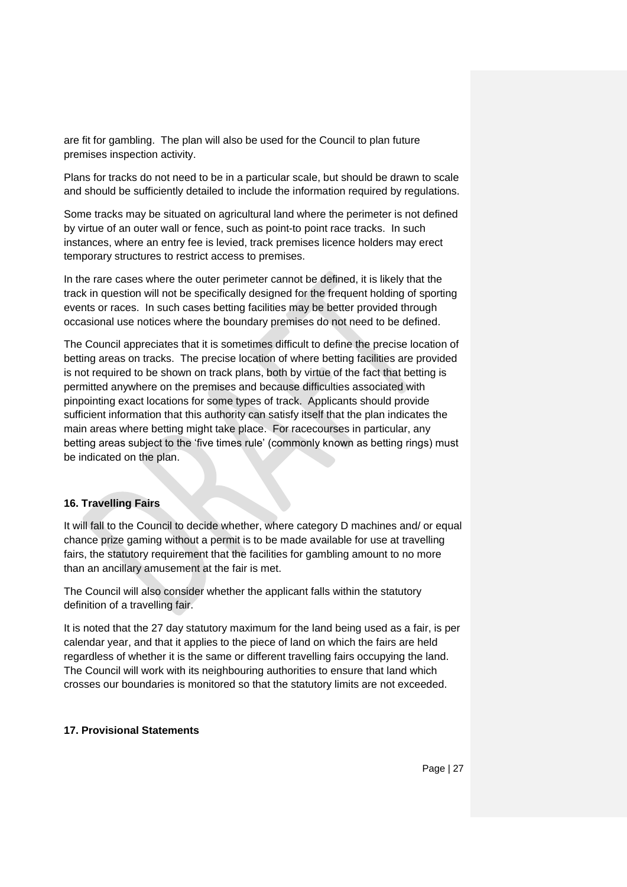are fit for gambling. The plan will also be used for the Council to plan future premises inspection activity.

Plans for tracks do not need to be in a particular scale, but should be drawn to scale and should be sufficiently detailed to include the information required by regulations.

Some tracks may be situated on agricultural land where the perimeter is not defined by virtue of an outer wall or fence, such as point-to point race tracks. In such instances, where an entry fee is levied, track premises licence holders may erect temporary structures to restrict access to premises.

In the rare cases where the outer perimeter cannot be defined, it is likely that the track in question will not be specifically designed for the frequent holding of sporting events or races. In such cases betting facilities may be better provided through occasional use notices where the boundary premises do not need to be defined.

The Council appreciates that it is sometimes difficult to define the precise location of betting areas on tracks. The precise location of where betting facilities are provided is not required to be shown on track plans, both by virtue of the fact that betting is permitted anywhere on the premises and because difficulties associated with pinpointing exact locations for some types of track. Applicants should provide sufficient information that this authority can satisfy itself that the plan indicates the main areas where betting might take place. For racecourses in particular, any betting areas subject to the 'five times rule' (commonly known as betting rings) must be indicated on the plan.

#### **16. Travelling Fairs**

It will fall to the Council to decide whether, where category D machines and/ or equal chance prize gaming without a permit is to be made available for use at travelling fairs, the statutory requirement that the facilities for gambling amount to no more than an ancillary amusement at the fair is met.

The Council will also consider whether the applicant falls within the statutory definition of a travelling fair.

It is noted that the 27 day statutory maximum for the land being used as a fair, is per calendar year, and that it applies to the piece of land on which the fairs are held regardless of whether it is the same or different travelling fairs occupying the land. The Council will work with its neighbouring authorities to ensure that land which crosses our boundaries is monitored so that the statutory limits are not exceeded.

#### **17. Provisional Statements**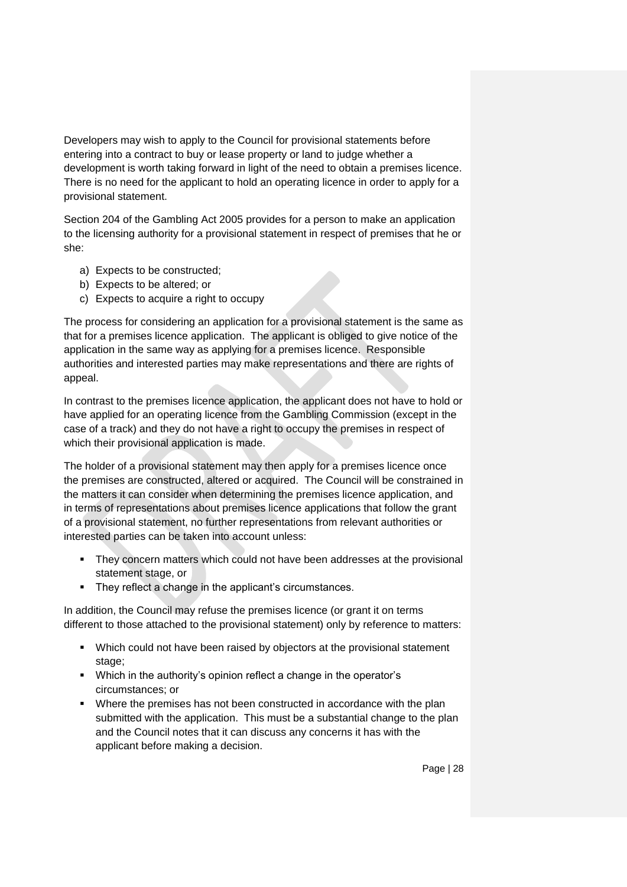Developers may wish to apply to the Council for provisional statements before entering into a contract to buy or lease property or land to judge whether a development is worth taking forward in light of the need to obtain a premises licence. There is no need for the applicant to hold an operating licence in order to apply for a provisional statement.

Section 204 of the Gambling Act 2005 provides for a person to make an application to the licensing authority for a provisional statement in respect of premises that he or she:

- a) Expects to be constructed;
- b) Expects to be altered; or
- c) Expects to acquire a right to occupy

The process for considering an application for a provisional statement is the same as that for a premises licence application. The applicant is obliged to give notice of the application in the same way as applying for a premises licence. Responsible authorities and interested parties may make representations and there are rights of appeal.

In contrast to the premises licence application, the applicant does not have to hold or have applied for an operating licence from the Gambling Commission (except in the case of a track) and they do not have a right to occupy the premises in respect of which their provisional application is made.

The holder of a provisional statement may then apply for a premises licence once the premises are constructed, altered or acquired. The Council will be constrained in the matters it can consider when determining the premises licence application, and in terms of representations about premises licence applications that follow the grant of a provisional statement, no further representations from relevant authorities or interested parties can be taken into account unless:

- They concern matters which could not have been addresses at the provisional statement stage, or
- They reflect a change in the applicant's circumstances.

In addition, the Council may refuse the premises licence (or grant it on terms different to those attached to the provisional statement) only by reference to matters:

- Which could not have been raised by objectors at the provisional statement stage;
- Which in the authority's opinion reflect a change in the operator's circumstances; or
- Where the premises has not been constructed in accordance with the plan submitted with the application. This must be a substantial change to the plan and the Council notes that it can discuss any concerns it has with the applicant before making a decision.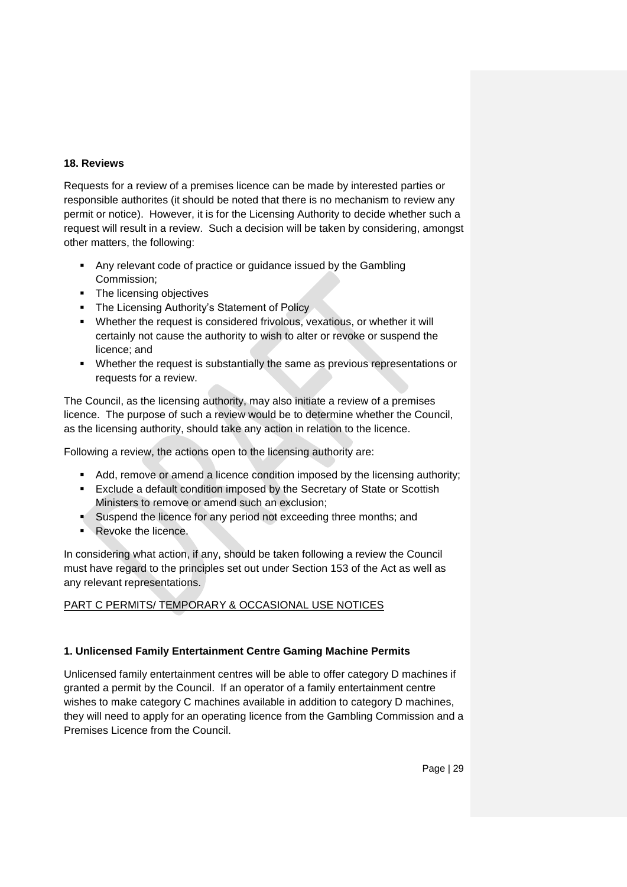#### **18. Reviews**

Requests for a review of a premises licence can be made by interested parties or responsible authorites (it should be noted that there is no mechanism to review any permit or notice). However, it is for the Licensing Authority to decide whether such a request will result in a review. Such a decision will be taken by considering, amongst other matters, the following:

- **Any relevant code of practice or guidance issued by the Gambling** Commission;
- The licensing objectives
- The Licensing Authority's Statement of Policy
- Whether the request is considered frivolous, vexatious, or whether it will certainly not cause the authority to wish to alter or revoke or suspend the licence; and
- Whether the request is substantially the same as previous representations or requests for a review.

The Council, as the licensing authority, may also initiate a review of a premises licence. The purpose of such a review would be to determine whether the Council, as the licensing authority, should take any action in relation to the licence.

Following a review, the actions open to the licensing authority are:

- Add, remove or amend a licence condition imposed by the licensing authority;
- Exclude a default condition imposed by the Secretary of State or Scottish Ministers to remove or amend such an exclusion;
- Suspend the licence for any period not exceeding three months; and
- Revoke the licence.

In considering what action, if any, should be taken following a review the Council must have regard to the principles set out under Section 153 of the Act as well as any relevant representations.

# PART C PERMITS/ TEMPORARY & OCCASIONAL USE NOTICES

# **1. Unlicensed Family Entertainment Centre Gaming Machine Permits**

Unlicensed family entertainment centres will be able to offer category D machines if granted a permit by the Council. If an operator of a family entertainment centre wishes to make category C machines available in addition to category D machines, they will need to apply for an operating licence from the Gambling Commission and a Premises Licence from the Council.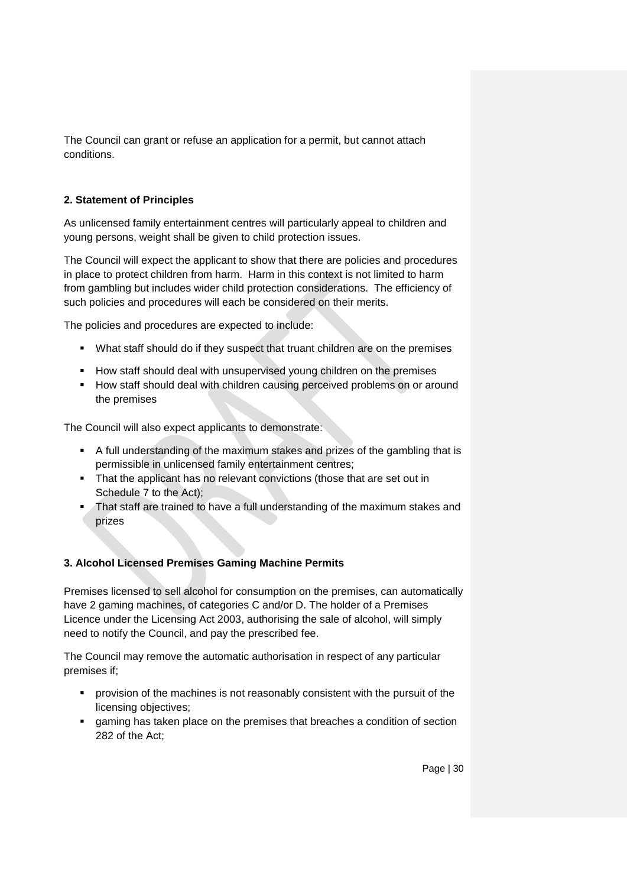The Council can grant or refuse an application for a permit, but cannot attach conditions.

## **2. Statement of Principles**

As unlicensed family entertainment centres will particularly appeal to children and young persons, weight shall be given to child protection issues.

The Council will expect the applicant to show that there are policies and procedures in place to protect children from harm. Harm in this context is not limited to harm from gambling but includes wider child protection considerations. The efficiency of such policies and procedures will each be considered on their merits.

The policies and procedures are expected to include:

- What staff should do if they suspect that truant children are on the premises
- **How staff should deal with unsupervised young children on the premises**
- **How staff should deal with children causing perceived problems on or around** the premises

The Council will also expect applicants to demonstrate:

- A full understanding of the maximum stakes and prizes of the gambling that is permissible in unlicensed family entertainment centres;
- That the applicant has no relevant convictions (those that are set out in Schedule 7 to the Act);
- **That staff are trained to have a full understanding of the maximum stakes and** prizes

# **3. Alcohol Licensed Premises Gaming Machine Permits**

Premises licensed to sell alcohol for consumption on the premises, can automatically have 2 gaming machines, of categories C and/or D. The holder of a Premises Licence under the Licensing Act 2003, authorising the sale of alcohol, will simply need to notify the Council, and pay the prescribed fee.

The Council may remove the automatic authorisation in respect of any particular premises if;

- **•** provision of the machines is not reasonably consistent with the pursuit of the licensing objectives;
- gaming has taken place on the premises that breaches a condition of section 282 of the Act;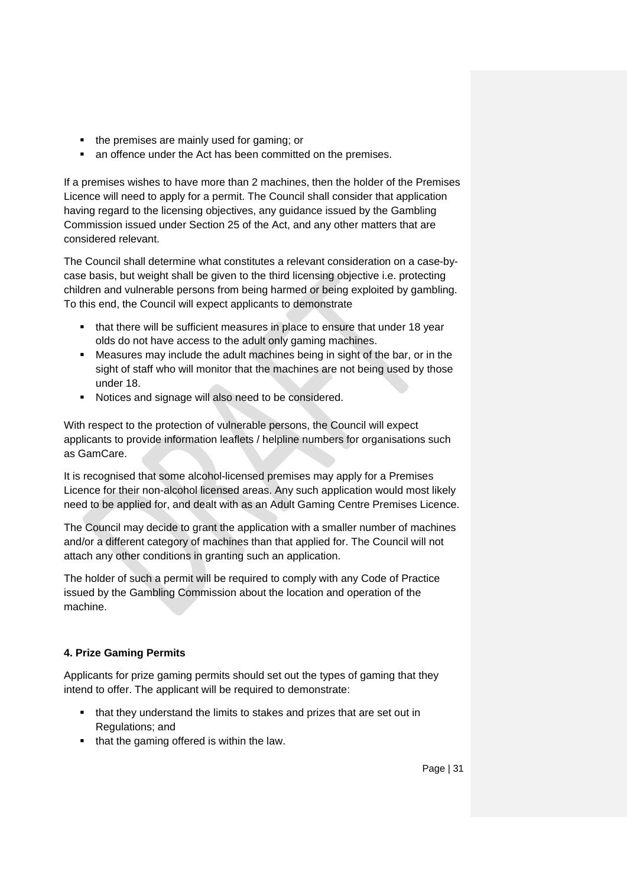- the premises are mainly used for gaming; or
- an offence under the Act has been committed on the premises.

If a premises wishes to have more than 2 machines, then the holder of the Premises Licence will need to apply for a permit. The Council shall consider that application having regard to the licensing objectives, any guidance issued by the Gambling Commission issued under Section 25 of the Act, and any other matters that are considered relevant.

The Council shall determine what constitutes a relevant consideration on a case-bycase basis, but weight shall be given to the third licensing objective i.e. protecting children and vulnerable persons from being harmed or being exploited by gambling. To this end, the Council will expect applicants to demonstrate

- that there will be sufficient measures in place to ensure that under 18 year olds do not have access to the adult only gaming machines.
- Measures may include the adult machines being in sight of the bar, or in the sight of staff who will monitor that the machines are not being used by those under 18.
- Notices and signage will also need to be considered.

With respect to the protection of vulnerable persons, the Council will expect applicants to provide information leaflets / helpline numbers for organisations such as GamCare.

It is recognised that some alcohol-licensed premises may apply for a Premises Licence for their non-alcohol licensed areas. Any such application would most likely need to be applied for, and dealt with as an Adult Gaming Centre Premises Licence.

The Council may decide to grant the application with a smaller number of machines and/or a different category of machines than that applied for. The Council will not attach any other conditions in granting such an application.

The holder of such a permit will be required to comply with any Code of Practice issued by the Gambling Commission about the location and operation of the machine.

# **4. Prize Gaming Permits**

Applicants for prize gaming permits should set out the types of gaming that they intend to offer. The applicant will be required to demonstrate:

- that they understand the limits to stakes and prizes that are set out in Regulations; and
- that the gaming offered is within the law.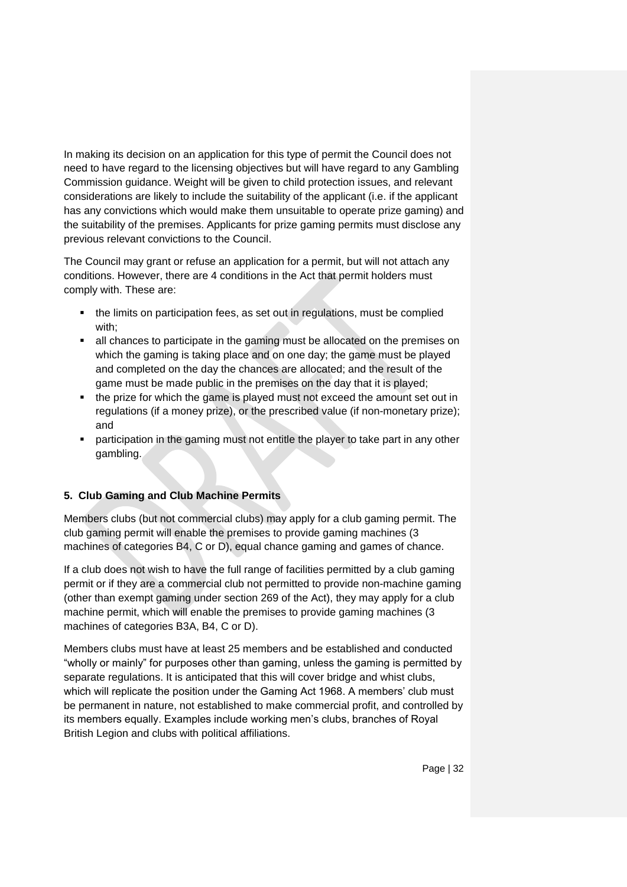In making its decision on an application for this type of permit the Council does not need to have regard to the licensing objectives but will have regard to any Gambling Commission guidance. Weight will be given to child protection issues, and relevant considerations are likely to include the suitability of the applicant (i.e. if the applicant has any convictions which would make them unsuitable to operate prize gaming) and the suitability of the premises. Applicants for prize gaming permits must disclose any previous relevant convictions to the Council.

The Council may grant or refuse an application for a permit, but will not attach any conditions. However, there are 4 conditions in the Act that permit holders must comply with. These are:

- the limits on participation fees, as set out in regulations, must be complied with;
- all chances to participate in the gaming must be allocated on the premises on which the gaming is taking place and on one day; the game must be played and completed on the day the chances are allocated; and the result of the game must be made public in the premises on the day that it is played;
- the prize for which the game is played must not exceed the amount set out in regulations (if a money prize), or the prescribed value (if non-monetary prize); and
- participation in the gaming must not entitle the player to take part in any other gambling.

# **5. Club Gaming and Club Machine Permits**

Members clubs (but not commercial clubs) may apply for a club gaming permit. The club gaming permit will enable the premises to provide gaming machines (3 machines of categories B4, C or D), equal chance gaming and games of chance.

If a club does not wish to have the full range of facilities permitted by a club gaming permit or if they are a commercial club not permitted to provide non-machine gaming (other than exempt gaming under section 269 of the Act), they may apply for a club machine permit, which will enable the premises to provide gaming machines (3 machines of categories B3A, B4, C or D).

Members clubs must have at least 25 members and be established and conducted "wholly or mainly" for purposes other than gaming, unless the gaming is permitted by separate regulations. It is anticipated that this will cover bridge and whist clubs, which will replicate the position under the Gaming Act 1968. A members' club must be permanent in nature, not established to make commercial profit, and controlled by its members equally. Examples include working men's clubs, branches of Royal British Legion and clubs with political affiliations.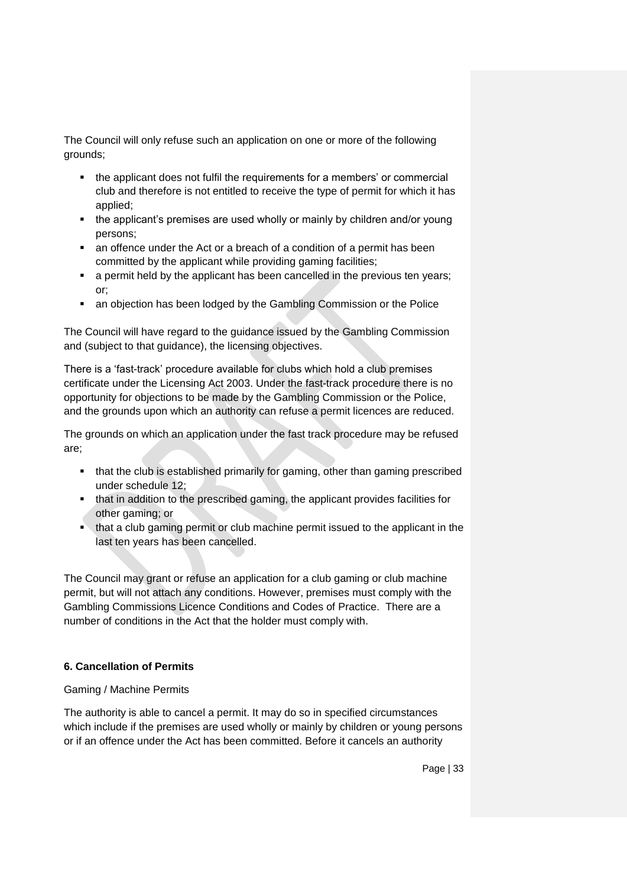The Council will only refuse such an application on one or more of the following grounds;

- the applicant does not fulfil the requirements for a members' or commercial club and therefore is not entitled to receive the type of permit for which it has applied;
- the applicant's premises are used wholly or mainly by children and/or young persons;
- an offence under the Act or a breach of a condition of a permit has been committed by the applicant while providing gaming facilities;
- a permit held by the applicant has been cancelled in the previous ten years; or;
- an objection has been lodged by the Gambling Commission or the Police

The Council will have regard to the guidance issued by the Gambling Commission and (subject to that guidance), the licensing objectives.

There is a 'fast-track' procedure available for clubs which hold a club premises certificate under the Licensing Act 2003. Under the fast-track procedure there is no opportunity for objections to be made by the Gambling Commission or the Police, and the grounds upon which an authority can refuse a permit licences are reduced.

The grounds on which an application under the fast track procedure may be refused are;

- that the club is established primarily for gaming, other than gaming prescribed under schedule 12;
- that in addition to the prescribed gaming, the applicant provides facilities for other gaming; or
- **that a club gaming permit or club machine permit issued to the applicant in the** last ten years has been cancelled.

The Council may grant or refuse an application for a club gaming or club machine permit, but will not attach any conditions. However, premises must comply with the Gambling Commissions Licence Conditions and Codes of Practice. There are a number of conditions in the Act that the holder must comply with.

#### **6. Cancellation of Permits**

#### Gaming / Machine Permits

The authority is able to cancel a permit. It may do so in specified circumstances which include if the premises are used wholly or mainly by children or young persons or if an offence under the Act has been committed. Before it cancels an authority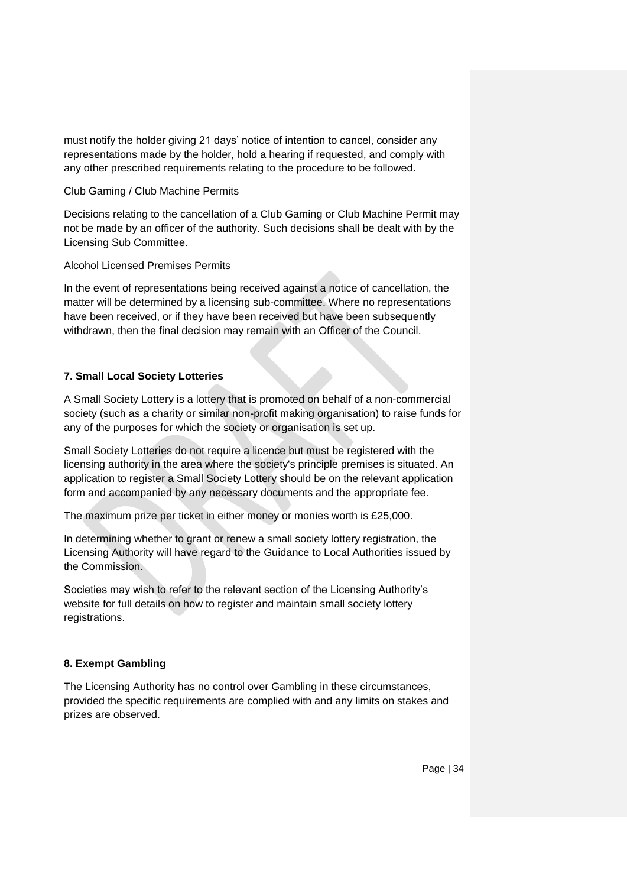must notify the holder giving 21 days' notice of intention to cancel, consider any representations made by the holder, hold a hearing if requested, and comply with any other prescribed requirements relating to the procedure to be followed.

#### Club Gaming / Club Machine Permits

Decisions relating to the cancellation of a Club Gaming or Club Machine Permit may not be made by an officer of the authority. Such decisions shall be dealt with by the Licensing Sub Committee.

Alcohol Licensed Premises Permits

In the event of representations being received against a notice of cancellation, the matter will be determined by a licensing sub-committee. Where no representations have been received, or if they have been received but have been subsequently withdrawn, then the final decision may remain with an Officer of the Council.

## **7. Small Local Society Lotteries**

A Small Society Lottery is a lottery that is promoted on behalf of a non-commercial society (such as a charity or similar non-profit making organisation) to raise funds for any of the purposes for which the society or organisation is set up.

Small Society Lotteries do not require a licence but must be registered with the licensing authority in the area where the society's principle premises is situated. An application to register a Small Society Lottery should be on the relevant application form and accompanied by any necessary documents and the appropriate fee.

The maximum prize per ticket in either money or monies worth is £25,000.

In determining whether to grant or renew a small society lottery registration, the Licensing Authority will have regard to the Guidance to Local Authorities issued by the Commission.

Societies may wish to refer to the relevant section of the Licensing Authority's website for full details on how to register and maintain small society lottery registrations.

#### **8. Exempt Gambling**

The Licensing Authority has no control over Gambling in these circumstances, provided the specific requirements are complied with and any limits on stakes and prizes are observed.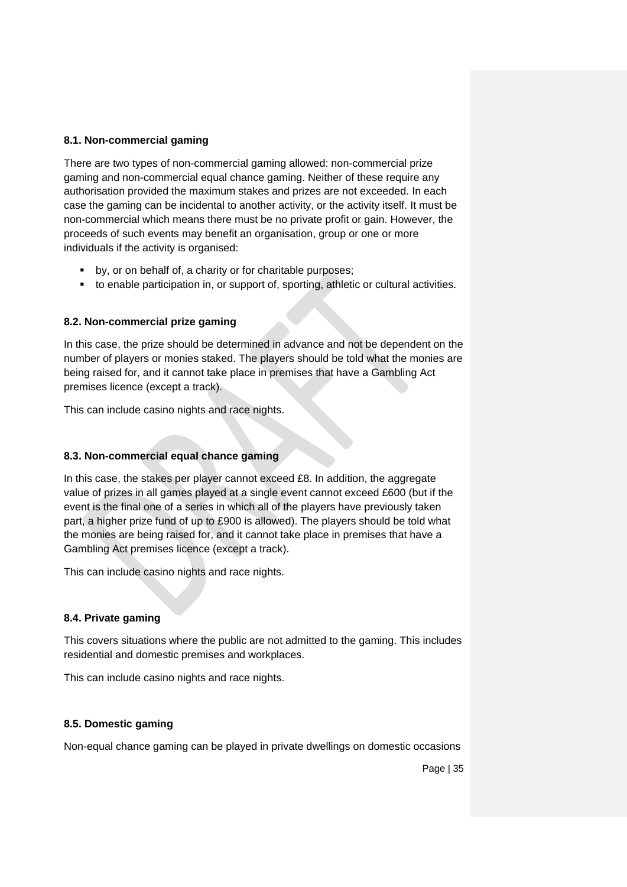#### **8.1. Non-commercial gaming**

There are two types of non-commercial gaming allowed: non-commercial prize gaming and non-commercial equal chance gaming. Neither of these require any authorisation provided the maximum stakes and prizes are not exceeded. In each case the gaming can be incidental to another activity, or the activity itself. It must be non-commercial which means there must be no private profit or gain. However, the proceeds of such events may benefit an organisation, group or one or more individuals if the activity is organised:

- by, or on behalf of, a charity or for charitable purposes;
- to enable participation in, or support of, sporting, athletic or cultural activities.

#### **8.2. Non-commercial prize gaming**

In this case, the prize should be determined in advance and not be dependent on the number of players or monies staked. The players should be told what the monies are being raised for, and it cannot take place in premises that have a Gambling Act premises licence (except a track).

This can include casino nights and race nights.

#### **8.3. Non-commercial equal chance gaming**

In this case, the stakes per player cannot exceed  $£8$ . In addition, the aggregate value of prizes in all games played at a single event cannot exceed £600 (but if the event is the final one of a series in which all of the players have previously taken part, a higher prize fund of up to £900 is allowed). The players should be told what the monies are being raised for, and it cannot take place in premises that have a Gambling Act premises licence (except a track).

This can include casino nights and race nights.

#### **8.4. Private gaming**

This covers situations where the public are not admitted to the gaming. This includes residential and domestic premises and workplaces.

This can include casino nights and race nights.

#### **8.5. Domestic gaming**

Non-equal chance gaming can be played in private dwellings on domestic occasions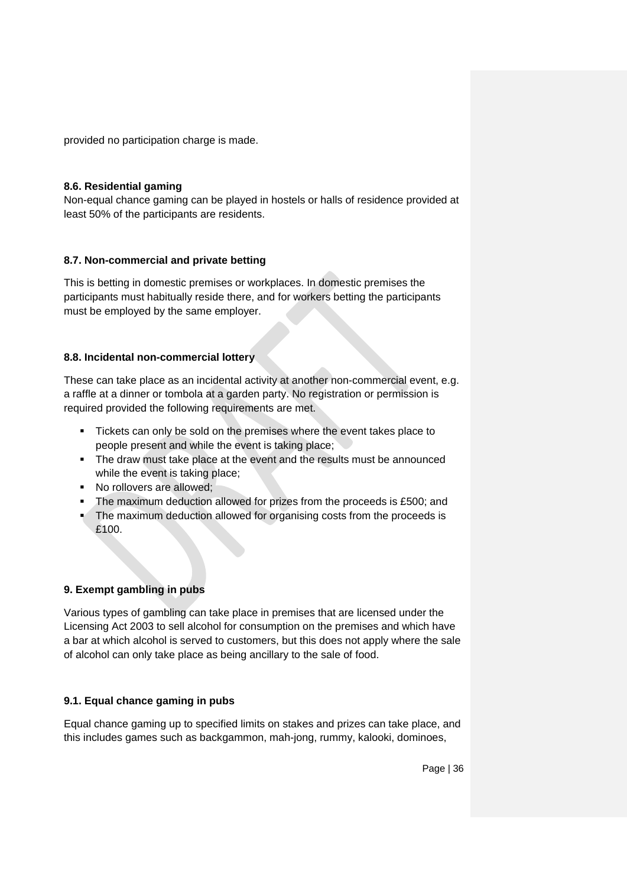provided no participation charge is made.

#### **8.6. Residential gaming**

Non-equal chance gaming can be played in hostels or halls of residence provided at least 50% of the participants are residents.

#### **8.7. Non-commercial and private betting**

This is betting in domestic premises or workplaces. In domestic premises the participants must habitually reside there, and for workers betting the participants must be employed by the same employer.

#### **8.8. Incidental non-commercial lottery**

These can take place as an incidental activity at another non-commercial event, e.g. a raffle at a dinner or tombola at a garden party. No registration or permission is required provided the following requirements are met.

- Tickets can only be sold on the premises where the event takes place to people present and while the event is taking place;
- The draw must take place at the event and the results must be announced while the event is taking place;
- No rollovers are allowed;
- The maximum deduction allowed for prizes from the proceeds is £500; and
- The maximum deduction allowed for organising costs from the proceeds is £100.

#### **9. Exempt gambling in pubs**

Various types of gambling can take place in premises that are licensed under the Licensing Act 2003 to sell alcohol for consumption on the premises and which have a bar at which alcohol is served to customers, but this does not apply where the sale of alcohol can only take place as being ancillary to the sale of food.

#### **9.1. Equal chance gaming in pubs**

Equal chance gaming up to specified limits on stakes and prizes can take place, and this includes games such as backgammon, mah-jong, rummy, kalooki, dominoes,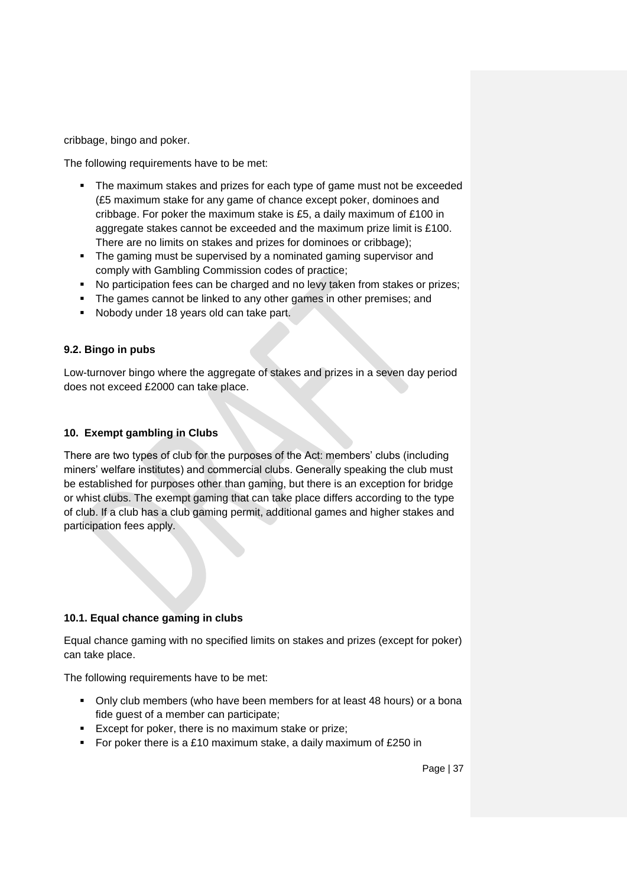cribbage, bingo and poker.

The following requirements have to be met:

- The maximum stakes and prizes for each type of game must not be exceeded (£5 maximum stake for any game of chance except poker, dominoes and cribbage. For poker the maximum stake is £5, a daily maximum of £100 in aggregate stakes cannot be exceeded and the maximum prize limit is £100. There are no limits on stakes and prizes for dominoes or cribbage);
- The gaming must be supervised by a nominated gaming supervisor and comply with Gambling Commission codes of practice;
- No participation fees can be charged and no levy taken from stakes or prizes;
- The games cannot be linked to any other games in other premises; and
- Nobody under 18 years old can take part.

## **9.2. Bingo in pubs**

Low-turnover bingo where the aggregate of stakes and prizes in a seven day period does not exceed £2000 can take place.

## **10. Exempt gambling in Clubs**

There are two types of club for the purposes of the Act: members' clubs (including miners' welfare institutes) and commercial clubs. Generally speaking the club must be established for purposes other than gaming, but there is an exception for bridge or whist clubs. The exempt gaming that can take place differs according to the type of club. If a club has a club gaming permit, additional games and higher stakes and participation fees apply.

#### **10.1. Equal chance gaming in clubs**

Equal chance gaming with no specified limits on stakes and prizes (except for poker) can take place.

The following requirements have to be met:

- Only club members (who have been members for at least 48 hours) or a bona fide guest of a member can participate;
- **Except for poker, there is no maximum stake or prize;**
- For poker there is a £10 maximum stake, a daily maximum of £250 in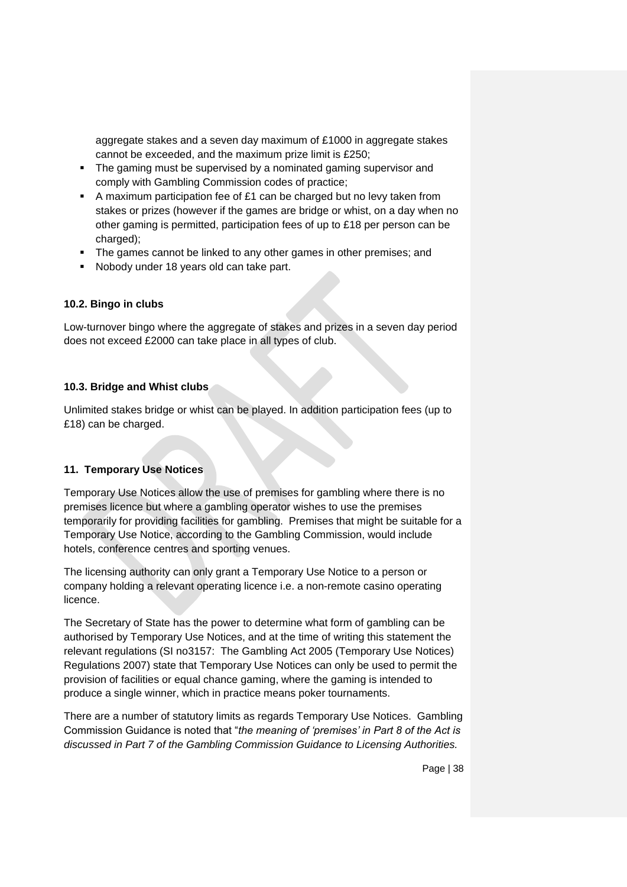aggregate stakes and a seven day maximum of £1000 in aggregate stakes cannot be exceeded, and the maximum prize limit is £250;

- The gaming must be supervised by a nominated gaming supervisor and comply with Gambling Commission codes of practice;
- A maximum participation fee of £1 can be charged but no levy taken from stakes or prizes (however if the games are bridge or whist, on a day when no other gaming is permitted, participation fees of up to £18 per person can be charged);
- The games cannot be linked to any other games in other premises; and
- Nobody under 18 years old can take part.

## **10.2. Bingo in clubs**

Low-turnover bingo where the aggregate of stakes and prizes in a seven day period does not exceed £2000 can take place in all types of club.

#### **10.3. Bridge and Whist clubs**

Unlimited stakes bridge or whist can be played. In addition participation fees (up to £18) can be charged.

# **11. Temporary Use Notices**

Temporary Use Notices allow the use of premises for gambling where there is no premises licence but where a gambling operator wishes to use the premises temporarily for providing facilities for gambling. Premises that might be suitable for a Temporary Use Notice, according to the Gambling Commission, would include hotels, conference centres and sporting venues.

The licensing authority can only grant a Temporary Use Notice to a person or company holding a relevant operating licence i.e. a non-remote casino operating licence.

The Secretary of State has the power to determine what form of gambling can be authorised by Temporary Use Notices, and at the time of writing this statement the relevant regulations (SI no3157: The Gambling Act 2005 (Temporary Use Notices) Regulations 2007) state that Temporary Use Notices can only be used to permit the provision of facilities or equal chance gaming, where the gaming is intended to produce a single winner, which in practice means poker tournaments.

There are a number of statutory limits as regards Temporary Use Notices. Gambling Commission Guidance is noted that "*the meaning of 'premises' in Part 8 of the Act is discussed in Part 7 of the Gambling Commission Guidance to Licensing Authorities.*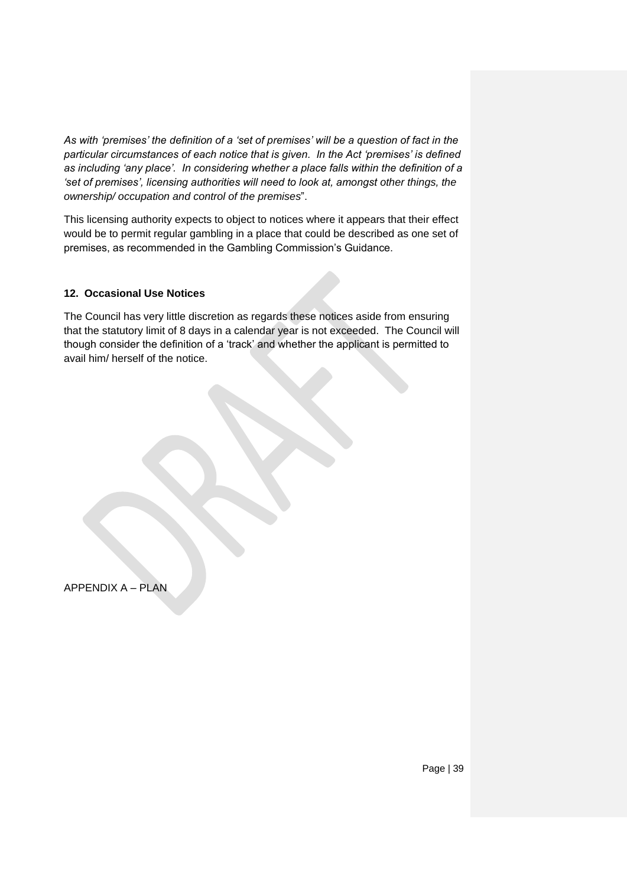*As with 'premises' the definition of a 'set of premises' will be a question of fact in the particular circumstances of each notice that is given. In the Act 'premises' is defined as including 'any place'. In considering whether a place falls within the definition of a 'set of premises', licensing authorities will need to look at, amongst other things, the ownership/ occupation and control of the premises*".

This licensing authority expects to object to notices where it appears that their effect would be to permit regular gambling in a place that could be described as one set of premises, as recommended in the Gambling Commission's Guidance.

#### **12. Occasional Use Notices**

The Council has very little discretion as regards these notices aside from ensuring that the statutory limit of 8 days in a calendar year is not exceeded. The Council will though consider the definition of a 'track' and whether the applicant is permitted to avail him/ herself of the notice.

APPENDIX A – PLAN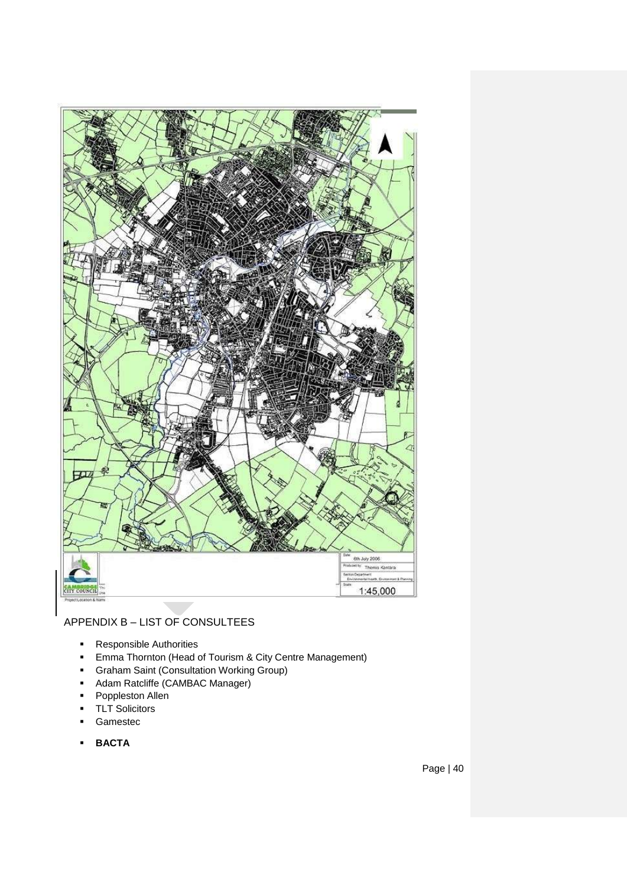

# APPENDIX B – LIST OF CONSULTEES

- **Responsible Authorities**
- **Emma Thornton (Head of Tourism & City Centre Management)**
- Graham Saint (Consultation Working Group)
- **-** Adam Ratcliffe (CAMBAC Manager)
- **•** Poppleston Allen
- TLT Solicitors
- Gamestec
- **BACTA**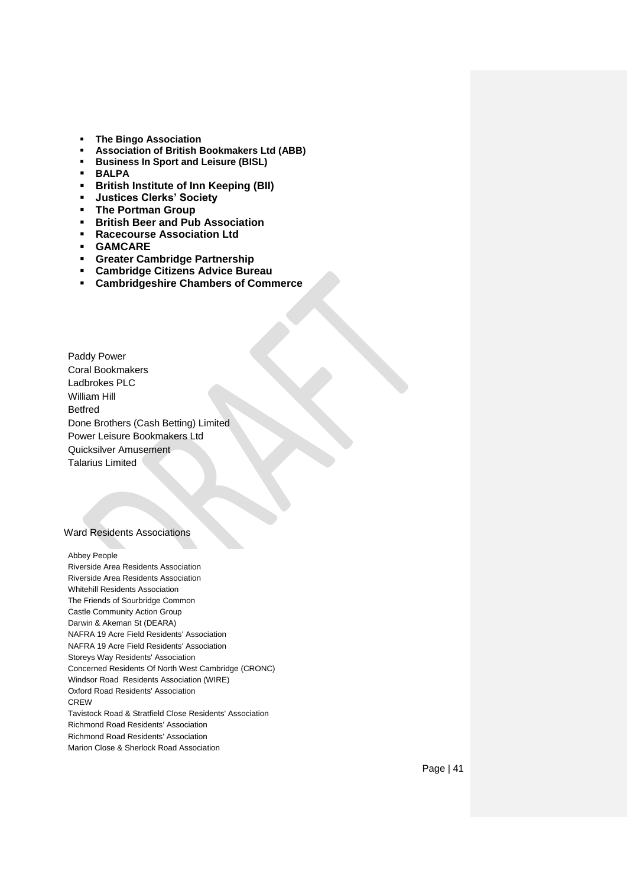- **The Bingo Association**
- **Association of British Bookmakers Ltd (ABB)**
- **Business In Sport and Leisure (BISL)**
- **BALPA**
- **British Institute of Inn Keeping (BII)**
- **Justices Clerks' Society**
- **The Portman Group**
- **British Beer and Pub Association**
- **Racecourse Association Ltd**
- **GAMCARE**
- **Greater Cambridge Partnership**
- **Cambridge Citizens Advice Bureau**
- **Cambridgeshire Chambers of Commerce**

Paddy Power Coral Bookmakers Ladbrokes PLC William Hill Betfred Done Brothers (Cash Betting) Limited Power Leisure Bookmakers Ltd Quicksilver Amusement Talarius Limited

#### Ward Residents Associations

Abbey People Riverside Area Residents Association Riverside Area Residents Association Whitehill Residents Association The Friends of Sourbridge Common Castle Community Action Group Darwin & Akeman St (DEARA) NAFRA 19 Acre Field Residents' Association NAFRA 19 Acre Field Residents' Association Storeys Way Residents' Association Concerned Residents Of North West Cambridge (CRONC) Windsor Road Residents Association (WIRE) Oxford Road Residents' Association **CREW** Tavistock Road & Stratfield Close Residents' Association Richmond Road Residents' Association Richmond Road Residents' Association Marion Close & Sherlock Road Association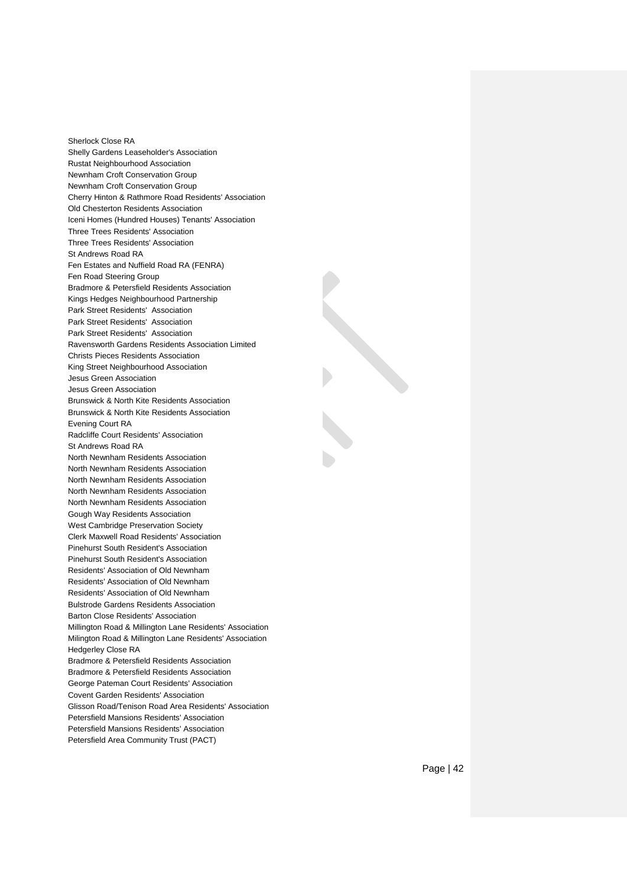Sherlock Close RA Shelly Gardens Leaseholder's Association Rustat Neighbourhood Association Newnham Croft Conservation Group Newnham Croft Conservation Group Cherry Hinton & Rathmore Road Residents' Association Old Chesterton Residents Association Iceni Homes (Hundred Houses) Tenants' Association Three Trees Residents' Association Three Trees Residents' Association St Andrews Road RA Fen Estates and Nuffield Road RA (FENRA) Fen Road Steering Group Bradmore & Petersfield Residents Association Kings Hedges Neighbourhood Partnership Park Street Residents' Association Park Street Residents' Association Park Street Residents' Association Ravensworth Gardens Residents Association Limited Christs Pieces Residents Association King Street Neighbourhood Association Jesus Green Association Jesus Green Association Brunswick & North Kite Residents Association Brunswick & North Kite Residents Association Evening Court RA Radcliffe Court Residents' Association St Andrews Road RA North Newnham Residents Association North Newnham Residents Association North Newnham Residents Association North Newnham Residents Association North Newnham Residents Association Gough Way Residents Association West Cambridge Preservation Society Clerk Maxwell Road Residents' Association Pinehurst South Resident's Association Pinehurst South Resident's Association Residents' Association of Old Newnham Residents' Association of Old Newnham Residents' Association of Old Newnham Bulstrode Gardens Residents Association Barton Close Residents' Association Millington Road & Millington Lane Residents' Association Milington Road & Millington Lane Residents' Association Hedgerley Close RA Bradmore & Petersfield Residents Association Bradmore & Petersfield Residents Association George Pateman Court Residents' Association Covent Garden Residents' Association Glisson Road/Tenison Road Area Residents' Association Petersfield Mansions Residents' Association Petersfield Mansions Residents' Association Petersfield Area Community Trust (PACT)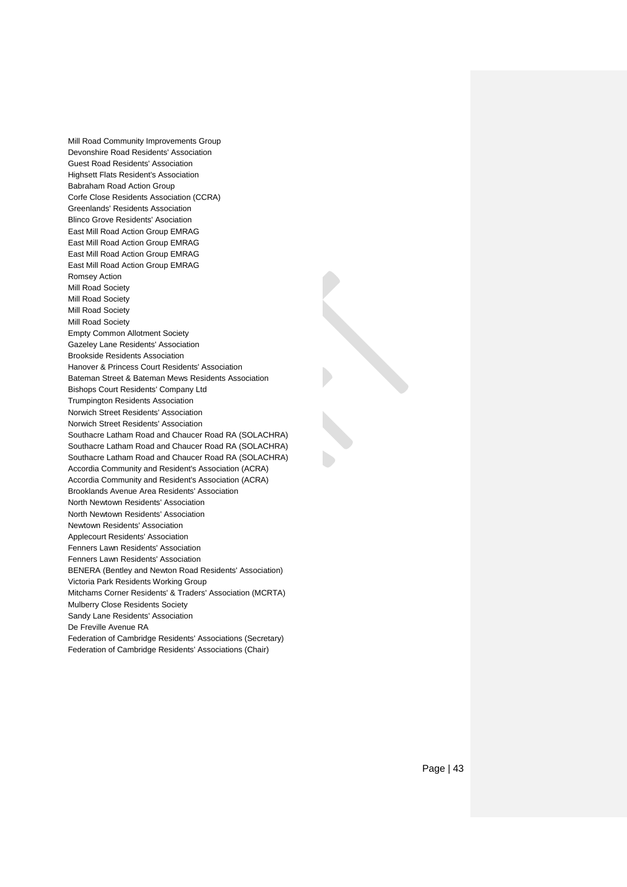Mill Road Community Improvements Group Devonshire Road Residents' Association Guest Road Residents' Association Highsett Flats Resident's Association Babraham Road Action Group Corfe Close Residents Association (CCRA) Greenlands' Residents Association Blinco Grove Residents' Asociation East Mill Road Action Group EMRAG East Mill Road Action Group EMRAG East Mill Road Action Group EMRAG East Mill Road Action Group EMRAG Romsey Action Mill Road Society Mill Road Society Mill Road Society Mill Road Society Empty Common Allotment Society Gazeley Lane Residents' Association Brookside Residents Association Hanover & Princess Court Residents' Association Bateman Street & Bateman Mews Residents Association Bishops Court Residents' Company Ltd Trumpington Residents Association Norwich Street Residents' Association Norwich Street Residents' Association Southacre Latham Road and Chaucer Road RA (SOLACHRA) Southacre Latham Road and Chaucer Road RA (SOLACHRA) Southacre Latham Road and Chaucer Road RA (SOLACHRA) Accordia Community and Resident's Association (ACRA) Accordia Community and Resident's Association (ACRA) Brooklands Avenue Area Residents' Association North Newtown Residents' Association North Newtown Residents' Association Newtown Residents' Association Applecourt Residents' Association Fenners Lawn Residents' Association Fenners Lawn Residents' Association BENERA (Bentley and Newton Road Residents' Association) Victoria Park Residents Working Group Mitchams Corner Residents' & Traders' Association (MCRTA) Mulberry Close Residents Society Sandy Lane Residents' Association De Freville Avenue RA Federation of Cambridge Residents' Associations (Secretary)

Federation of Cambridge Residents' Associations (Chair)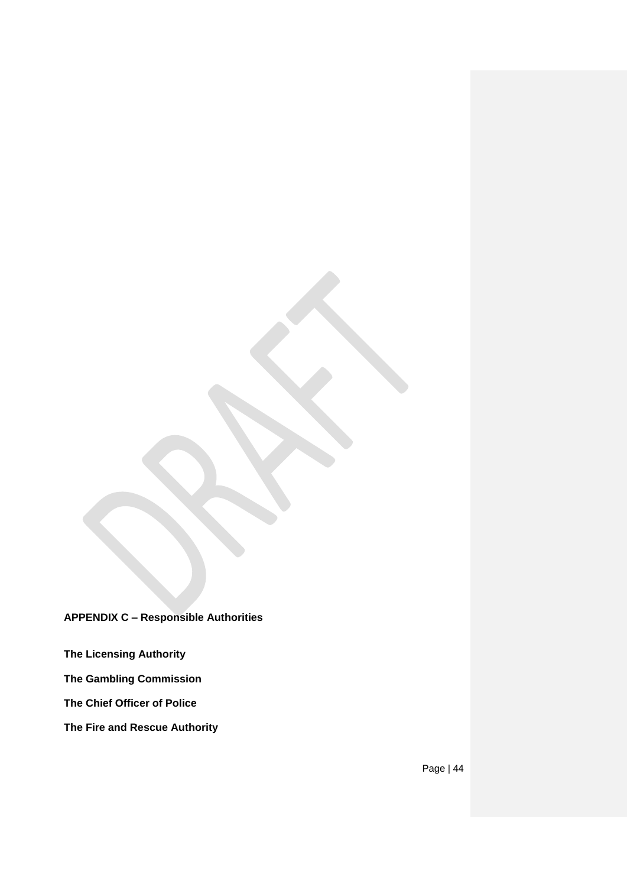**APPENDIX C – Responsible Authorities**

**The Licensing Authority**

**The Gambling Commission**

**The Chief Officer of Police**

**The Fire and Rescue Authority**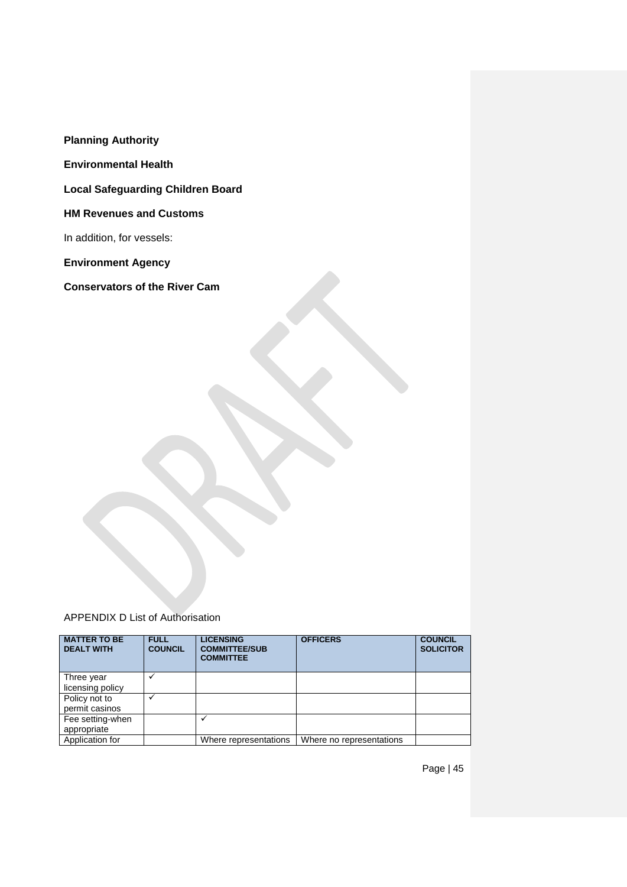**Planning Authority**

**Environmental Health**

**Local Safeguarding Children Board**

**HM Revenues and Customs**

In addition, for vessels:

**Environment Agency**

**Conservators of the River Cam**

APPENDIX D List of Authorisation

| <b>MATTER TO BE</b><br><b>DEALT WITH</b> | <b>FULL</b><br><b>COUNCIL</b> | <b>LICENSING</b><br><b>COMMITTEE/SUB</b><br><b>COMMITTEE</b> | <b>OFFICERS</b>          | <b>COUNCIL</b><br><b>SOLICITOR</b> |
|------------------------------------------|-------------------------------|--------------------------------------------------------------|--------------------------|------------------------------------|
| Three year                               |                               |                                                              |                          |                                    |
| licensing policy                         |                               |                                                              |                          |                                    |
| Policy not to                            |                               |                                                              |                          |                                    |
| permit casinos                           |                               |                                                              |                          |                                    |
| Fee setting-when                         |                               |                                                              |                          |                                    |
| appropriate                              |                               |                                                              |                          |                                    |
| Application for                          |                               | Where representations                                        | Where no representations |                                    |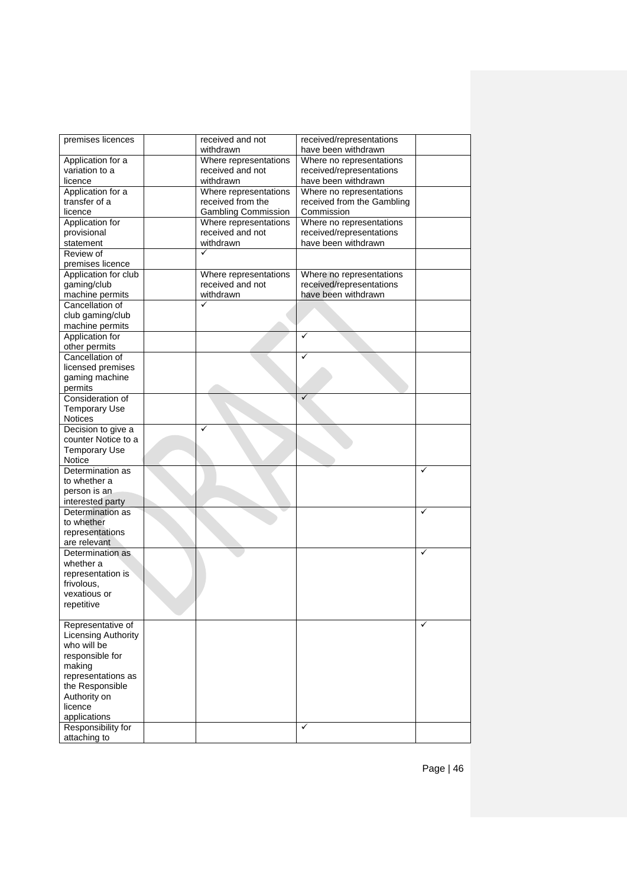| premises licences          | received and not           | received/representations   |              |
|----------------------------|----------------------------|----------------------------|--------------|
|                            | withdrawn                  | have been withdrawn        |              |
| Application for a          | Where representations      | Where no representations   |              |
| variation to a             | received and not           | received/representations   |              |
| licence                    | withdrawn                  | have been withdrawn        |              |
| Application for a          | Where representations      | Where no representations   |              |
| transfer of a              | received from the          | received from the Gambling |              |
| licence                    | <b>Gambling Commission</b> | Commission                 |              |
| Application for            | Where representations      | Where no representations   |              |
| provisional                | received and not           | received/representations   |              |
| statement                  | withdrawn                  | have been withdrawn        |              |
| Review of                  |                            |                            |              |
| premises licence           |                            |                            |              |
| Application for club       | Where representations      | Where no representations   |              |
| gaming/club                | received and not           | received/representations   |              |
| machine permits            | withdrawn                  | have been withdrawn        |              |
| Cancellation of            | ✓                          |                            |              |
| club gaming/club           |                            |                            |              |
| machine permits            |                            |                            |              |
| Application for            |                            | ✓                          |              |
| other permits              |                            |                            |              |
| Cancellation of            |                            | ✓                          |              |
| licensed premises          |                            |                            |              |
| gaming machine             |                            |                            |              |
| permits                    |                            |                            |              |
| Consideration of           |                            | ✓                          |              |
| <b>Temporary Use</b>       |                            |                            |              |
| Notices                    |                            |                            |              |
| Decision to give a         | ✓                          |                            |              |
| counter Notice to a        |                            |                            |              |
| <b>Temporary Use</b>       |                            |                            |              |
| Notice                     |                            |                            |              |
| Determination as           |                            |                            | ✓            |
| to whether a               |                            |                            |              |
| person is an               |                            |                            |              |
| interested party           |                            |                            |              |
| Determination as           |                            |                            | ✓            |
| to whether                 |                            |                            |              |
| representations            |                            |                            |              |
| are relevant               |                            |                            |              |
| Determination as           |                            |                            | ✓            |
| whether a                  |                            |                            |              |
| representation is          |                            |                            |              |
| frivolous,                 |                            |                            |              |
| vexatious or               |                            |                            |              |
| repetitive                 |                            |                            |              |
|                            |                            |                            |              |
| Representative of          |                            |                            | $\checkmark$ |
| <b>Licensing Authority</b> |                            |                            |              |
| who will be                |                            |                            |              |
| responsible for            |                            |                            |              |
| making                     |                            |                            |              |
| representations as         |                            |                            |              |
| the Responsible            |                            |                            |              |
| Authority on               |                            |                            |              |
| licence                    |                            |                            |              |
| applications               |                            |                            |              |
| Responsibility for         |                            | ✓                          |              |
| attaching to               |                            |                            |              |
|                            |                            |                            |              |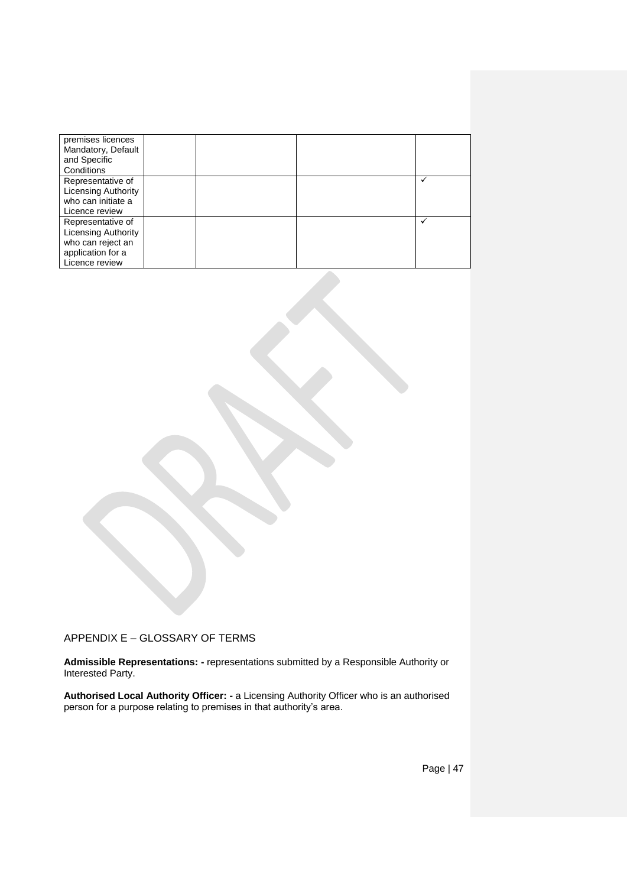| premises licences          |  |   |
|----------------------------|--|---|
| Mandatory, Default         |  |   |
| and Specific               |  |   |
| Conditions                 |  |   |
| Representative of          |  | ✓ |
| Licensing Authority        |  |   |
| who can initiate a         |  |   |
| Licence review             |  |   |
| Representative of          |  | √ |
| <b>Licensing Authority</b> |  |   |
| who can reject an          |  |   |
| application for a          |  |   |
| Licence review             |  |   |

APPENDIX E – GLOSSARY OF TERMS

**Admissible Representations: -** representations submitted by a Responsible Authority or Interested Party.

**Authorised Local Authority Officer: -** a Licensing Authority Officer who is an authorised person for a purpose relating to premises in that authority's area.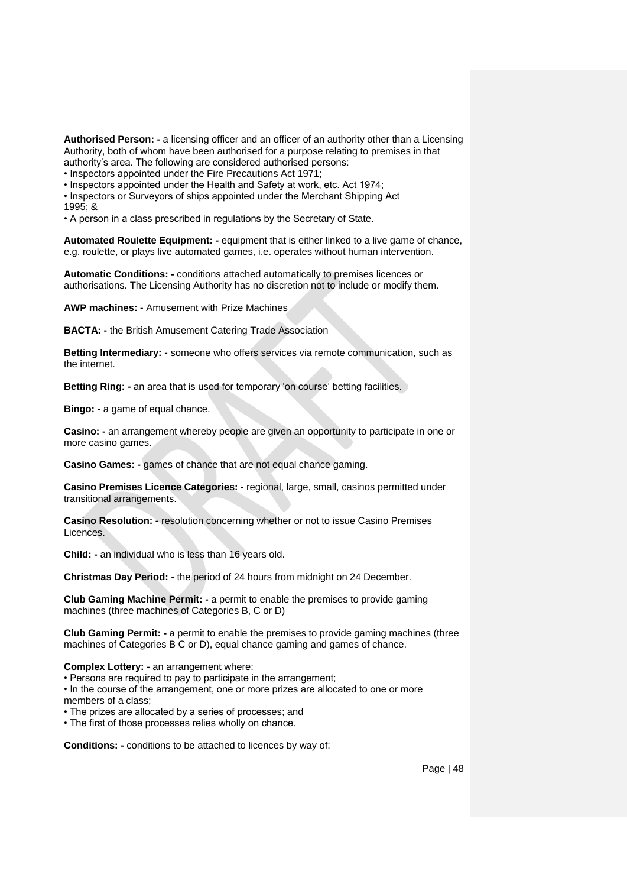**Authorised Person: -** a licensing officer and an officer of an authority other than a Licensing Authority, both of whom have been authorised for a purpose relating to premises in that authority's area. The following are considered authorised persons:

• Inspectors appointed under the Fire Precautions Act 1971;

• Inspectors appointed under the Health and Safety at work, etc. Act 1974;

• Inspectors or Surveyors of ships appointed under the Merchant Shipping Act  $1995: 8$ 

• A person in a class prescribed in regulations by the Secretary of State.

**Automated Roulette Equipment: -** equipment that is either linked to a live game of chance, e.g. roulette, or plays live automated games, i.e. operates without human intervention.

**Automatic Conditions: -** conditions attached automatically to premises licences or authorisations. The Licensing Authority has no discretion not to include or modify them.

**AWP machines: -** Amusement with Prize Machines

**BACTA: -** the British Amusement Catering Trade Association

**Betting Intermediary: -** someone who offers services via remote communication, such as the internet.

**Betting Ring: -** an area that is used for temporary 'on course' betting facilities.

**Bingo: -** a game of equal chance.

**Casino: -** an arrangement whereby people are given an opportunity to participate in one or more casino games.

**Casino Games: -** games of chance that are not equal chance gaming.

**Casino Premises Licence Categories: -** regional, large, small, casinos permitted under transitional arrangements.

**Casino Resolution: -** resolution concerning whether or not to issue Casino Premises Licences.

**Child: -** an individual who is less than 16 years old.

**Christmas Day Period: -** the period of 24 hours from midnight on 24 December.

**Club Gaming Machine Permit: -** a permit to enable the premises to provide gaming machines (three machines of Categories B, C or D)

**Club Gaming Permit: -** a permit to enable the premises to provide gaming machines (three machines of Categories B C or D), equal chance gaming and games of chance.

**Complex Lottery: -** an arrangement where:

• Persons are required to pay to participate in the arrangement;

• In the course of the arrangement, one or more prizes are allocated to one or more members of a class;

• The prizes are allocated by a series of processes; and

• The first of those processes relies wholly on chance.

**Conditions: -** conditions to be attached to licences by way of: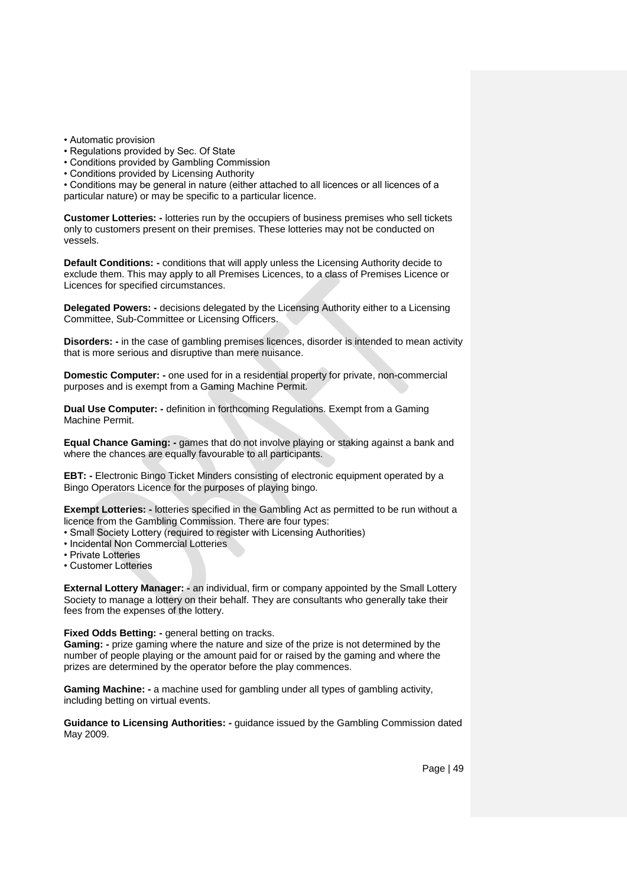• Automatic provision

- Regulations provided by Sec. Of State
- Conditions provided by Gambling Commission
- Conditions provided by Licensing Authority

• Conditions may be general in nature (either attached to all licences or all licences of a particular nature) or may be specific to a particular licence.

**Customer Lotteries: -** lotteries run by the occupiers of business premises who sell tickets only to customers present on their premises. These lotteries may not be conducted on vessels.

**Default Conditions: -** conditions that will apply unless the Licensing Authority decide to exclude them. This may apply to all Premises Licences, to a class of Premises Licence or Licences for specified circumstances.

**Delegated Powers: -** decisions delegated by the Licensing Authority either to a Licensing Committee, Sub-Committee or Licensing Officers.

**Disorders: -** in the case of gambling premises licences, disorder is intended to mean activity that is more serious and disruptive than mere nuisance.

**Domestic Computer: -** one used for in a residential property for private, non-commercial purposes and is exempt from a Gaming Machine Permit.

**Dual Use Computer: -** definition in forthcoming Regulations. Exempt from a Gaming Machine Permit.

**Equal Chance Gaming: -** games that do not involve playing or staking against a bank and where the chances are equally favourable to all participants.

**EBT: -** Electronic Bingo Ticket Minders consisting of electronic equipment operated by a Bingo Operators Licence for the purposes of playing bingo.

**Exempt Lotteries: -** lotteries specified in the Gambling Act as permitted to be run without a licence from the Gambling Commission. There are four types:

- Small Society Lottery (required to register with Licensing Authorities)
- Incidental Non Commercial Lotteries
- Private Lotteries
- Customer Lotteries

**External Lottery Manager: -** an individual, firm or company appointed by the Small Lottery Society to manage a lottery on their behalf. They are consultants who generally take their fees from the expenses of the lottery.

**Fixed Odds Betting: -** general betting on tracks.

**Gaming: -** prize gaming where the nature and size of the prize is not determined by the number of people playing or the amount paid for or raised by the gaming and where the prizes are determined by the operator before the play commences.

**Gaming Machine: -** a machine used for gambling under all types of gambling activity, including betting on virtual events.

**Guidance to Licensing Authorities: -** guidance issued by the Gambling Commission dated May 2009.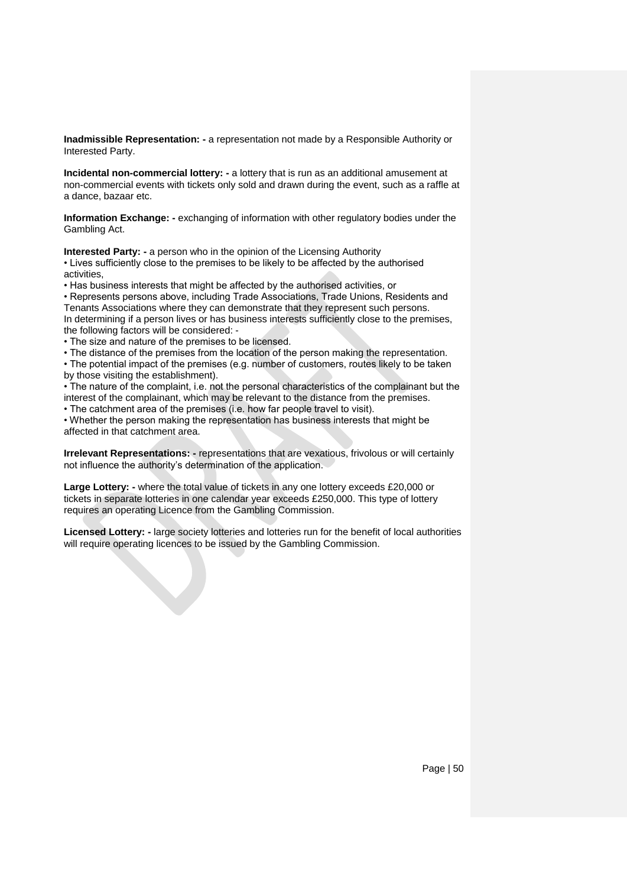**Inadmissible Representation: -** a representation not made by a Responsible Authority or Interested Party.

**Incidental non-commercial lottery: -** a lottery that is run as an additional amusement at non-commercial events with tickets only sold and drawn during the event, such as a raffle at a dance, bazaar etc.

**Information Exchange: -** exchanging of information with other regulatory bodies under the Gambling Act.

**Interested Party: -** a person who in the opinion of the Licensing Authority • Lives sufficiently close to the premises to be likely to be affected by the authorised activities,

• Has business interests that might be affected by the authorised activities, or

• Represents persons above, including Trade Associations, Trade Unions, Residents and Tenants Associations where they can demonstrate that they represent such persons.

In determining if a person lives or has business interests sufficiently close to the premises, the following factors will be considered: -

• The size and nature of the premises to be licensed.

• The distance of the premises from the location of the person making the representation.

• The potential impact of the premises (e.g. number of customers, routes likely to be taken by those visiting the establishment).

• The nature of the complaint, i.e. not the personal characteristics of the complainant but the interest of the complainant, which may be relevant to the distance from the premises.

• The catchment area of the premises (i.e. how far people travel to visit).

• Whether the person making the representation has business interests that might be affected in that catchment area.

**Irrelevant Representations: -** representations that are vexatious, frivolous or will certainly not influence the authority's determination of the application.

**Large Lottery: -** where the total value of tickets in any one lottery exceeds £20,000 or tickets in separate lotteries in one calendar year exceeds £250,000. This type of lottery requires an operating Licence from the Gambling Commission.

**Licensed Lottery: -** large society lotteries and lotteries run for the benefit of local authorities will require operating licences to be issued by the Gambling Commission.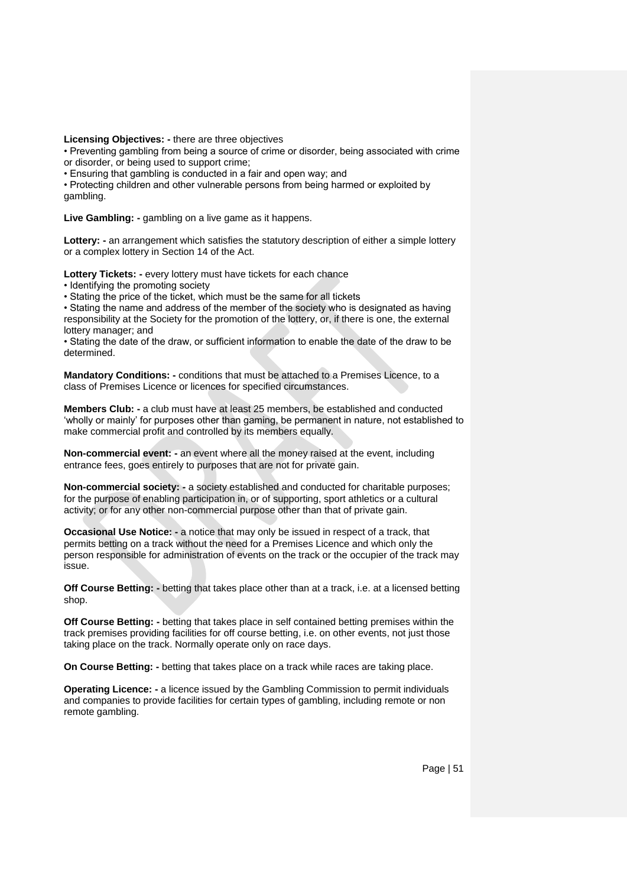**Licensing Objectives: -** there are three objectives

• Preventing gambling from being a source of crime or disorder, being associated with crime or disorder, or being used to support crime;

• Ensuring that gambling is conducted in a fair and open way; and

• Protecting children and other vulnerable persons from being harmed or exploited by gambling.

**Live Gambling: -** gambling on a live game as it happens.

**Lottery: -** an arrangement which satisfies the statutory description of either a simple lottery or a complex lottery in Section 14 of the Act.

**Lottery Tickets: -** every lottery must have tickets for each chance

• Identifying the promoting society

• Stating the price of the ticket, which must be the same for all tickets

• Stating the name and address of the member of the society who is designated as having responsibility at the Society for the promotion of the lottery, or, if there is one, the external lottery manager; and

• Stating the date of the draw, or sufficient information to enable the date of the draw to be determined.

**Mandatory Conditions: -** conditions that must be attached to a Premises Licence, to a class of Premises Licence or licences for specified circumstances.

**Members Club: -** a club must have at least 25 members, be established and conducted 'wholly or mainly' for purposes other than gaming, be permanent in nature, not established to make commercial profit and controlled by its members equally.

**Non-commercial event: -** an event where all the money raised at the event, including entrance fees, goes entirely to purposes that are not for private gain.

**Non-commercial society: -** a society established and conducted for charitable purposes; for the purpose of enabling participation in, or of supporting, sport athletics or a cultural activity; or for any other non-commercial purpose other than that of private gain.

**Occasional Use Notice: -** a notice that may only be issued in respect of a track, that permits betting on a track without the need for a Premises Licence and which only the person responsible for administration of events on the track or the occupier of the track may issue.

**Off Course Betting: -** betting that takes place other than at a track, i.e. at a licensed betting shop.

**Off Course Betting: -** betting that takes place in self contained betting premises within the track premises providing facilities for off course betting, i.e. on other events, not just those taking place on the track. Normally operate only on race days.

**On Course Betting: -** betting that takes place on a track while races are taking place.

**Operating Licence: -** a licence issued by the Gambling Commission to permit individuals and companies to provide facilities for certain types of gambling, including remote or non remote gambling.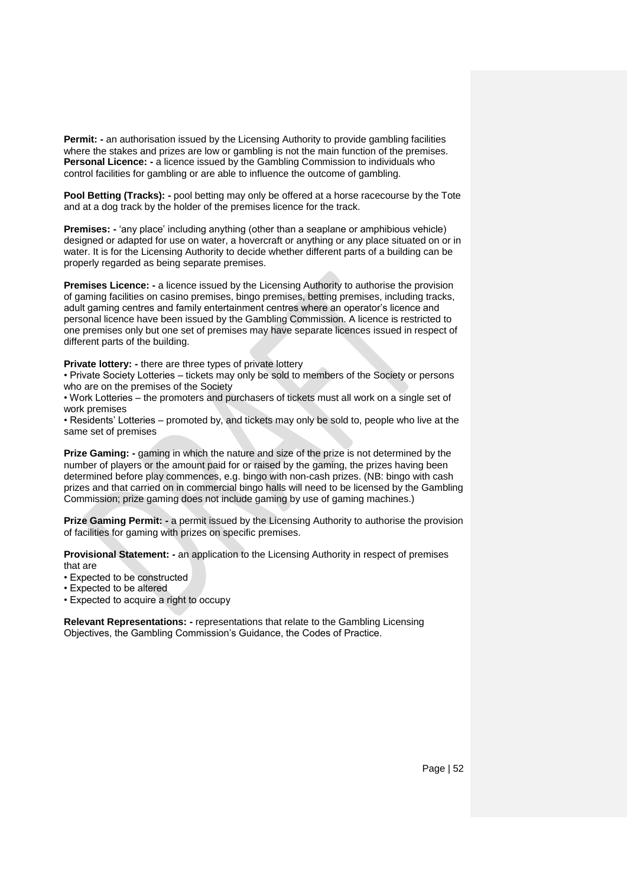**Permit: -** an authorisation issued by the Licensing Authority to provide gambling facilities where the stakes and prizes are low or gambling is not the main function of the premises. **Personal Licence: -** a licence issued by the Gambling Commission to individuals who control facilities for gambling or are able to influence the outcome of gambling.

**Pool Betting (Tracks):** - pool betting may only be offered at a horse racecourse by the Tote and at a dog track by the holder of the premises licence for the track.

**Premises: -** 'any place' including anything (other than a seaplane or amphibious vehicle) designed or adapted for use on water, a hovercraft or anything or any place situated on or in water. It is for the Licensing Authority to decide whether different parts of a building can be properly regarded as being separate premises.

**Premises Licence: -** a licence issued by the Licensing Authority to authorise the provision of gaming facilities on casino premises, bingo premises, betting premises, including tracks, adult gaming centres and family entertainment centres where an operator's licence and personal licence have been issued by the Gambling Commission. A licence is restricted to one premises only but one set of premises may have separate licences issued in respect of different parts of the building.

**Private lottery: -** there are three types of private lottery

• Private Society Lotteries – tickets may only be sold to members of the Society or persons who are on the premises of the Society

• Work Lotteries – the promoters and purchasers of tickets must all work on a single set of work premises

• Residents' Lotteries – promoted by, and tickets may only be sold to, people who live at the same set of premises

**Prize Gaming: -** gaming in which the nature and size of the prize is not determined by the number of players or the amount paid for or raised by the gaming, the prizes having been determined before play commences, e.g. bingo with non-cash prizes. (NB: bingo with cash prizes and that carried on in commercial bingo halls will need to be licensed by the Gambling Commission; prize gaming does not include gaming by use of gaming machines.)

**Prize Gaming Permit: -** a permit issued by the Licensing Authority to authorise the provision of facilities for gaming with prizes on specific premises.

**Provisional Statement: -** an application to the Licensing Authority in respect of premises that are

• Expected to be constructed

• Expected to be altered

• Expected to acquire a right to occupy

**Relevant Representations: -** representations that relate to the Gambling Licensing Objectives, the Gambling Commission's Guidance, the Codes of Practice.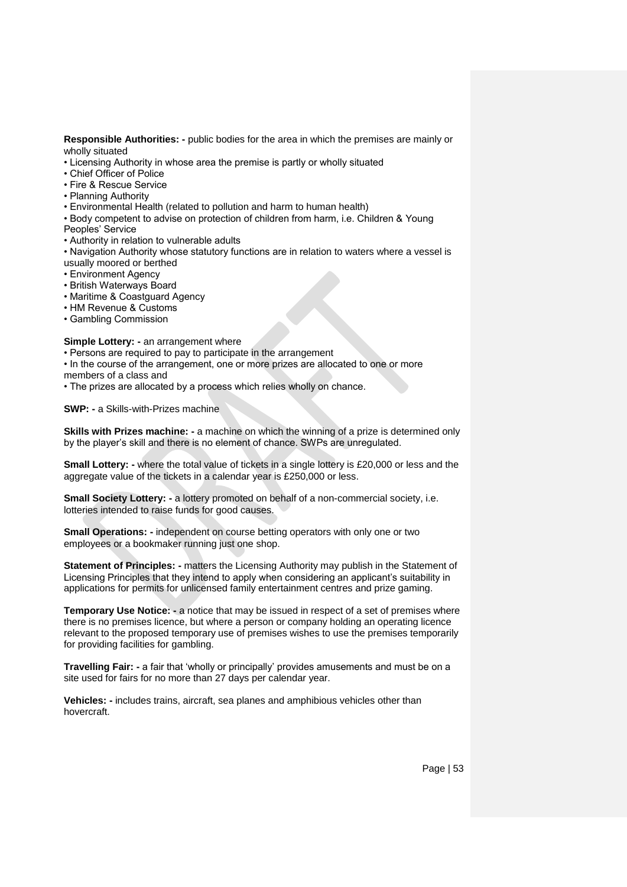**Responsible Authorities: -** public bodies for the area in which the premises are mainly or wholly situated

- Licensing Authority in whose area the premise is partly or wholly situated
- Chief Officer of Police
- Fire & Rescue Service
- Planning Authority
- Environmental Health (related to pollution and harm to human health)
- Body competent to advise on protection of children from harm, i.e. Children & Young
- Peoples' Service
- Authority in relation to vulnerable adults
- Navigation Authority whose statutory functions are in relation to waters where a vessel is usually moored or berthed
- Environment Agency
- British Waterways Board
- Maritime & Coastguard Agency
- HM Revenue & Customs
- Gambling Commission

#### **Simple Lottery: -** an arrangement where

- Persons are required to pay to participate in the arrangement
- In the course of the arrangement, one or more prizes are allocated to one or more
- members of a class and
- The prizes are allocated by a process which relies wholly on chance.

**SWP: -** a Skills-with-Prizes machine

**Skills with Prizes machine: -** a machine on which the winning of a prize is determined only by the player's skill and there is no element of chance. SWPs are unregulated.

**Small Lottery: -** where the total value of tickets in a single lottery is £20,000 or less and the aggregate value of the tickets in a calendar year is £250,000 or less.

**Small Society Lottery: -** a lottery promoted on behalf of a non-commercial society, i.e. lotteries intended to raise funds for good causes.

**Small Operations: -** independent on course betting operators with only one or two employees or a bookmaker running just one shop.

**Statement of Principles: -** matters the Licensing Authority may publish in the Statement of Licensing Principles that they intend to apply when considering an applicant's suitability in applications for permits for unlicensed family entertainment centres and prize gaming.

**Temporary Use Notice: -** a notice that may be issued in respect of a set of premises where there is no premises licence, but where a person or company holding an operating licence relevant to the proposed temporary use of premises wishes to use the premises temporarily for providing facilities for gambling.

**Travelling Fair: -** a fair that 'wholly or principally' provides amusements and must be on a site used for fairs for no more than 27 days per calendar year.

**Vehicles: -** includes trains, aircraft, sea planes and amphibious vehicles other than hovercraft.